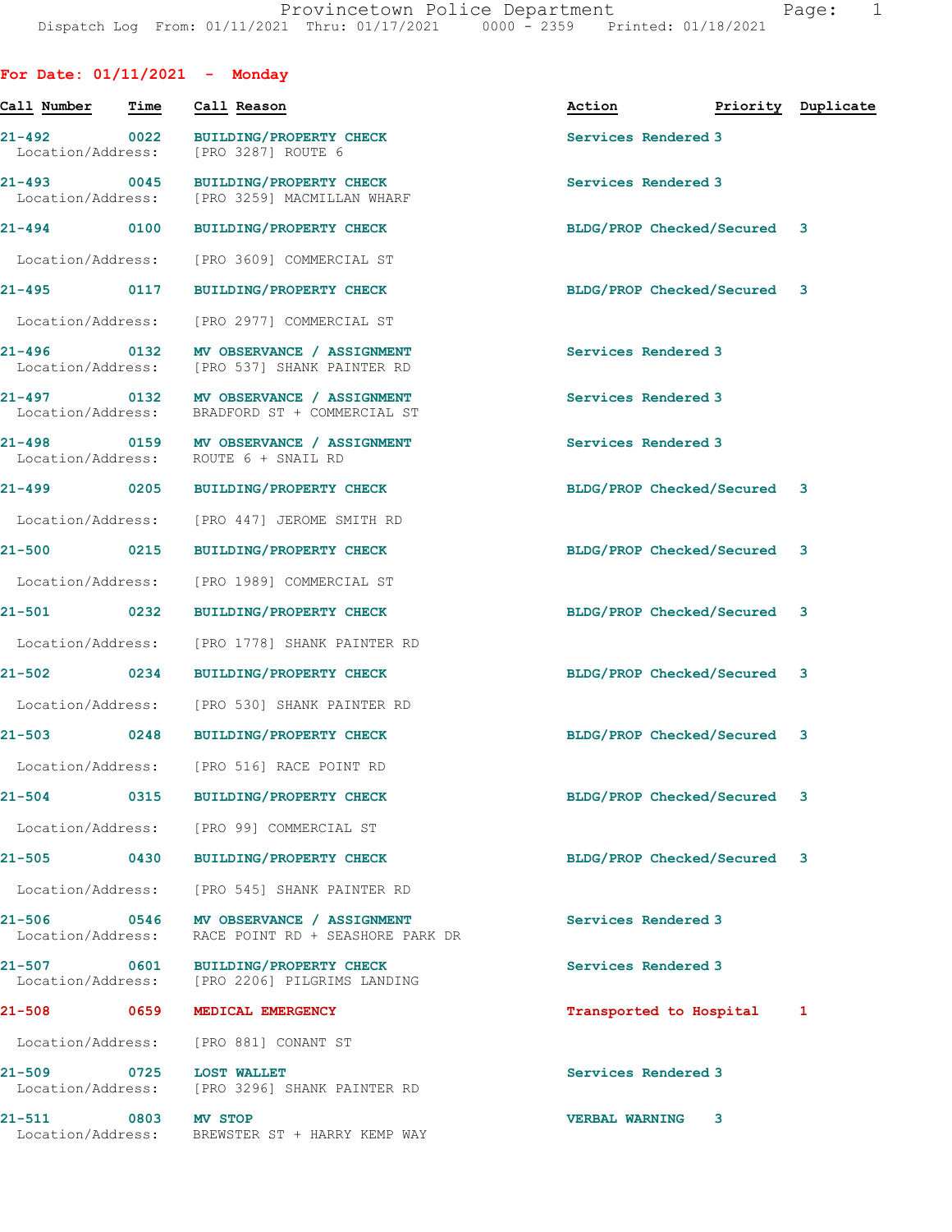| For Date: $01/11/2021$ - Monday  |             |                                                                                 |                             |           |
|----------------------------------|-------------|---------------------------------------------------------------------------------|-----------------------------|-----------|
| Call Number                      | Time        | Call Reason                                                                     | Action<br>Priority          | Duplicate |
| 21-492<br>Location/Address:      | $\sim$ 0022 | <b>BUILDING/PROPERTY CHECK</b><br>[PRO 3287] ROUTE 6                            | Services Rendered 3         |           |
| 21-493 0045<br>Location/Address: |             | <b>BUILDING/PROPERTY CHECK</b><br>[PRO 3259] MACMILLAN WHARF                    | Services Rendered 3         |           |
| 21-494 0100                      |             | <b>BUILDING/PROPERTY CHECK</b>                                                  | BLDG/PROP Checked/Secured 3 |           |
| Location/Address:                |             | [PRO 3609] COMMERCIAL ST                                                        |                             |           |
| $21 - 495$                       | 0117        | <b>BUILDING/PROPERTY CHECK</b>                                                  | BLDG/PROP Checked/Secured 3 |           |
| Location/Address:                |             | [PRO 2977] COMMERCIAL ST                                                        |                             |           |
| 21-496 0132<br>Location/Address: |             | MV OBSERVANCE / ASSIGNMENT<br>[PRO 537] SHANK PAINTER RD                        | Services Rendered 3         |           |
| 21-497 0132<br>Location/Address: |             | MV OBSERVANCE / ASSIGNMENT<br>BRADFORD ST + COMMERCIAL ST                       | Services Rendered 3         |           |
| 21-498 0159<br>Location/Address: |             | MV OBSERVANCE / ASSIGNMENT<br>ROUTE 6 + SNAIL RD                                | Services Rendered 3         |           |
| 21-499                           | $\sim$ 0205 | <b>BUILDING/PROPERTY CHECK</b>                                                  | BLDG/PROP Checked/Secured 3 |           |
| Location/Address:                |             | [PRO 447] JEROME SMITH RD                                                       |                             |           |
| $21 - 500$                       | 0215        | <b>BUILDING/PROPERTY CHECK</b>                                                  | BLDG/PROP Checked/Secured 3 |           |
| Location/Address:                |             | [PRO 1989] COMMERCIAL ST                                                        |                             |           |
| 21-501<br>$\sim$ 0232            |             | <b>BUILDING/PROPERTY CHECK</b>                                                  | BLDG/PROP Checked/Secured 3 |           |
| Location/Address:                |             | [PRO 1778] SHANK PAINTER RD                                                     |                             |           |
| 21-502 0234                      |             | <b>BUILDING/PROPERTY CHECK</b>                                                  | BLDG/PROP Checked/Secured 3 |           |
| Location/Address:                |             | [PRO 530] SHANK PAINTER RD                                                      |                             |           |
| $21 - 503$                       | 0248        | <b>BUILDING/PROPERTY CHECK</b>                                                  | BLDG/PROP Checked/Secured 3 |           |
| Location/Address:                |             | [PRO 516] RACE POINT RD                                                         |                             |           |
| 21-504 0315                      |             | <b>BUILDING/PROPERTY CHECK</b>                                                  | BLDG/PROP Checked/Secured 3 |           |
|                                  |             | Location/Address: [PRO 99] COMMERCIAL ST                                        |                             |           |
| 21-505                           | 0430        | <b>BUILDING/PROPERTY CHECK</b>                                                  | BLDG/PROP Checked/Secured 3 |           |
| Location/Address:                |             | [PRO 545] SHANK PAINTER RD                                                      |                             |           |
| 21-506 0546<br>Location/Address: |             | MV OBSERVANCE / ASSIGNMENT<br>RACE POINT RD + SEASHORE PARK DR                  | Services Rendered 3         |           |
| $21 - 507$                       | 0601        | <b>BUILDING/PROPERTY CHECK</b><br>Location/Address: [PRO 2206] PILGRIMS LANDING | Services Rendered 3         |           |
| 21-508 0659                      |             | MEDICAL EMERGENCY                                                               | Transported to Hospital     | 1         |
| Location/Address:                |             | [PRO 881] CONANT ST                                                             |                             |           |
| 21-509<br>Location/Address:      | $\sim$ 0725 | <b>LOST WALLET</b><br>[PRO 3296] SHANK PAINTER RD                               | Services Rendered 3         |           |
| 21-511<br>Location/Address:      | $\sim$ 0803 | <b>MV STOP</b><br>BREWSTER ST + HARRY KEMP WAY                                  | <b>VERBAL WARNING</b><br>3  |           |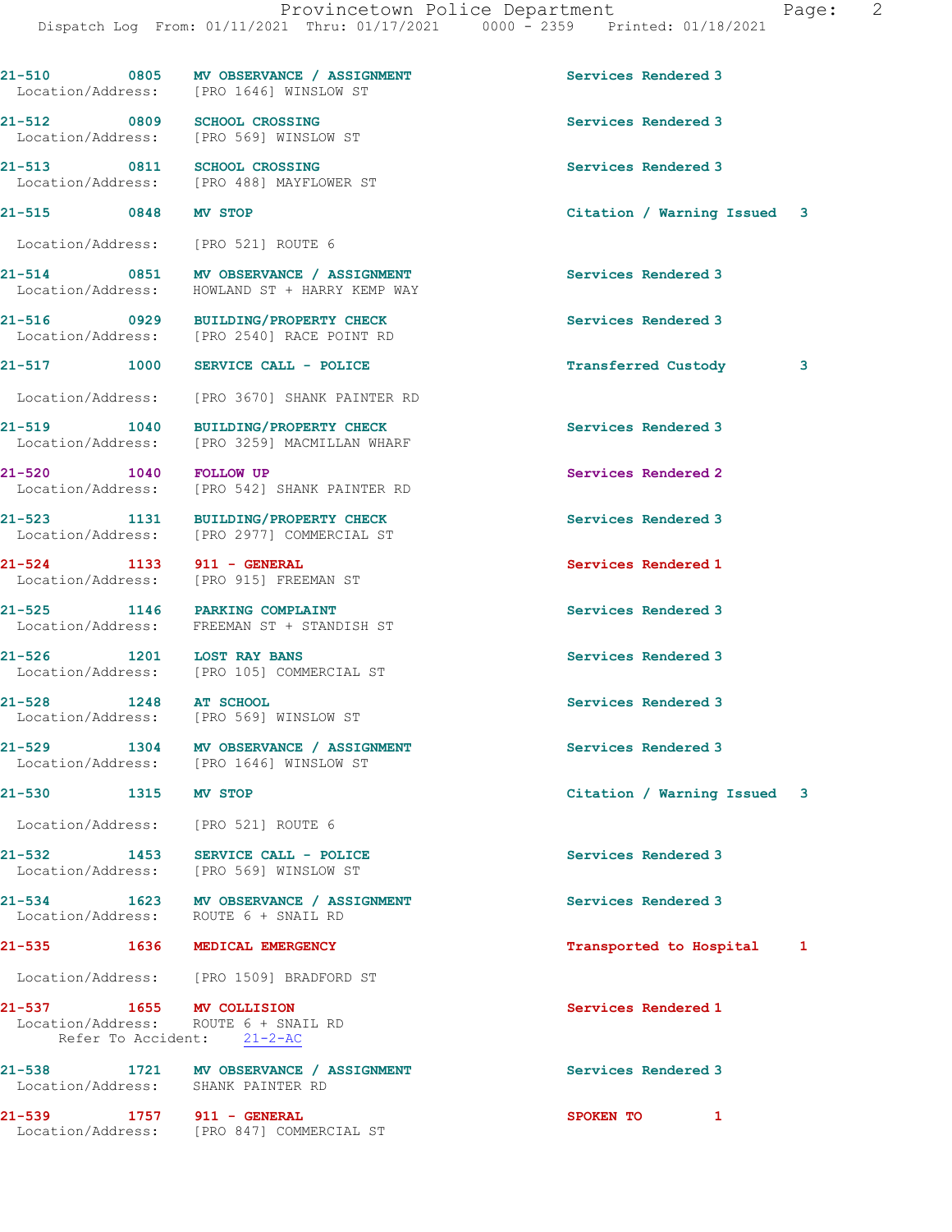|                           |              | 21-510 0805 MV OBSERVANCE / ASSIGNMENT<br>Location/Address: [PRO 1646] WINSLOW ST | Services Rendered 3         |   |
|---------------------------|--------------|-----------------------------------------------------------------------------------|-----------------------------|---|
|                           |              | 21-512 0809 SCHOOL CROSSING<br>Location/Address: [PRO 569] WINSLOW ST             | Services Rendered 3         |   |
|                           |              | 21-513 0811 SCHOOL CROSSING<br>Location/Address: [PRO 488] MAYFLOWER ST           | Services Rendered 3         |   |
| 21-515 0848 MV STOP       |              |                                                                                   | Citation / Warning Issued 3 |   |
|                           |              | Location/Address: [PRO 521] ROUTE 6                                               |                             |   |
| 21-514                    |              | 0851 MV OBSERVANCE / ASSIGNMENT<br>Location/Address: HOWLAND ST + HARRY KEMP WAY  | Services Rendered 3         |   |
|                           |              | 21-516 0929 BUILDING/PROPERTY CHECK<br>Location/Address: [PRO 2540] RACE POINT RD | Services Rendered 3         |   |
| 21-517 1000               |              | SERVICE CALL - POLICE                                                             | <b>Transferred Custody</b>  | 3 |
|                           |              | Location/Address: [PRO 3670] SHANK PAINTER RD                                     |                             |   |
| 21-519 1040               |              | BUILDING/PROPERTY CHECK<br>Location/Address: [PRO 3259] MACMILLAN WHARF           | Services Rendered 3         |   |
| 21-520 1040 FOLLOW UP     |              | Location/Address: [PRO 542] SHANK PAINTER RD                                      | Services Rendered 2         |   |
|                           |              | 21-523 1131 BUILDING/PROPERTY CHECK<br>Location/Address: [PRO 2977] COMMERCIAL ST | Services Rendered 3         |   |
| 21-524 1133 911 - GENERAL |              | Location/Address: [PRO 915] FREEMAN ST                                            | Services Rendered 1         |   |
| 21-525                    |              | 1146 PARKING COMPLAINT<br>Location/Address: FREEMAN ST + STANDISH ST              | Services Rendered 3         |   |
| 21-526 1201 LOST RAY BANS |              | Location/Address: [PRO 105] COMMERCIAL ST                                         | Services Rendered 3         |   |
| $21 - 528$                |              | 1248 AT SCHOOL<br>Location/Address: [PRO 569] WINSLOW ST                          | Services Rendered 3         |   |
| 21-529                    |              | 1304 MV OBSERVANCE / ASSIGNMENT<br>Location/Address: [PRO 1646] WINSLOW ST        | Services Rendered 3         |   |
| 21-530                    | 1315 MV STOP |                                                                                   | Citation / Warning Issued 3 |   |
|                           |              | Location/Address: [PRO 521] ROUTE 6                                               |                             |   |
|                           |              | 21-532 1453 SERVICE CALL - POLICE<br>Location/Address: [PRO 569] WINSLOW ST       | Services Rendered 3         |   |
|                           |              | 21-534 1623 MV OBSERVANCE / ASSIGNMENT<br>Location/Address: ROUTE 6 + SNAIL RD    | Services Rendered 3         |   |
| $21 - 535$                | 1636         | MEDICAL EMERGENCY                                                                 | Transported to Hospital     | 1 |
|                           |              | Location/Address: [PRO 1509] BRADFORD ST                                          |                             |   |
| 21-537 1655 MV COLLISION  |              | Location/Address: ROUTE 6 + SNAIL RD<br>Refer To Accident: 21-2-AC                | Services Rendered 1         |   |
|                           |              | 21-538 1721 MV OBSERVANCE / ASSIGNMENT<br>Location/Address: SHANK PAINTER RD      | Services Rendered 3         |   |
| 21-539 1757 911 - GENERAL |              | Location/Address: [PRO 847] COMMERCIAL ST                                         | SPOKEN TO<br>1              |   |
|                           |              |                                                                                   |                             |   |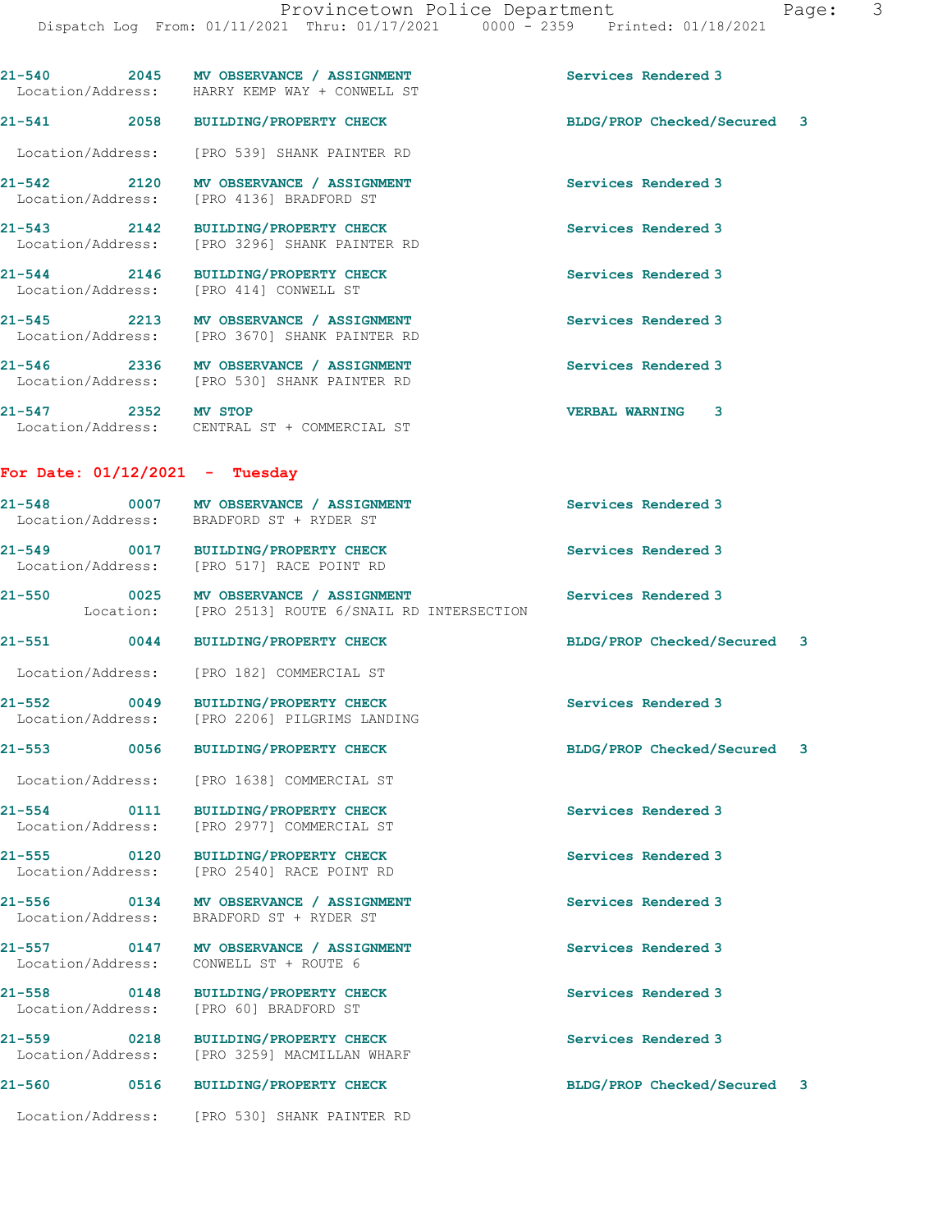21-540 2045 MV OBSERVANCE / ASSIGNMENT Services Rendered 3

 Location/Address: HARRY KEMP WAY + CONWELL ST 21-541 2058 BUILDING/PROPERTY CHECK BLDG/PROP Checked/Secured 3 Location/Address: [PRO 539] SHANK PAINTER RD 21-542 2120 MV OBSERVANCE / ASSIGNMENT Services Rendered 3 Location/Address: [PRO 4136] BRADFORD ST 21-543 2142 BUILDING/PROPERTY CHECK Services Rendered 3<br>
Location/Address: [PRO 3296] SHANK PAINTER RD [PRO 3296] SHANK PAINTER RD 21-544 2146 BUILDING/PROPERTY CHECK Services Rendered 3 Location/Address: [PRO 414] CONWELL ST 21-545 2213 MV OBSERVANCE / ASSIGNMENT Services Rendered 3 Location/Address: [PRO 3670] SHANK PAINTER RD 21-546 2336 MV OBSERVANCE / ASSIGNMENT Services Rendered 3 Location/Address: [PRO 530] SHANK PAINTER RD 21-547 2352 MV STOP VERBAL WARNING 3 Location/Address: CENTRAL ST + COMMERCIAL ST For Date:  $01/12/2021$  - Tuesday 21-548 0007 MV OBSERVANCE / ASSIGNMENT Services Rendered 3 Location/Address: BRADFORD ST + RYDER ST 21-549 0017 BUILDING/PROPERTY CHECK Services Rendered 3 Location/Address: [PRO 517] RACE POINT RD 21-550 0025 MV OBSERVANCE / ASSIGNMENT Services Rendered 3 Location: [PRO 2513] ROUTE 6/SNAIL RD INTERSECTION 21-551 0044 BUILDING/PROPERTY CHECK BLDG/PROP Checked/Secured 3 Location/Address: [PRO 182] COMMERCIAL ST 21-552 0049 BUILDING/PROPERTY CHECK Services Rendered 3 Location/Address: [PRO 2206] PILGRIMS LANDING 21-553 0056 BUILDING/PROPERTY CHECK BLDG/PROP Checked/Secured 3 Location/Address: [PRO 1638] COMMERCIAL ST 21-554 0111 BUILDING/PROPERTY CHECK Services Rendered 3 Location/Address: [PRO 2977] COMMERCIAL ST 21-555 0120 BUILDING/PROPERTY CHECK Services Rendered 3 Location/Address: [PRO 2540] RACE POINT RD 21-556 0134 MV OBSERVANCE / ASSIGNMENT Services Rendered 3 Location/Address: BRADFORD ST + RYDER ST 21-557 0147 MV OBSERVANCE / ASSIGNMENT Services Rendered 3 Location/Address: CONWELL ST + ROUTE 6 21-558 0148 BUILDING/PROPERTY CHECK Services Rendered 3 Location/Address: [PRO 60] BRADFORD ST 21-559 0218 BUILDING/PROPERTY CHECK Services Rendered 3 Location/Address: [PRO 3259] MACMILLAN WHARF 21-560 0516 BUILDING/PROPERTY CHECK BLDG/PROP Checked/Secured 3 Location/Address: [PRO 530] SHANK PAINTER RD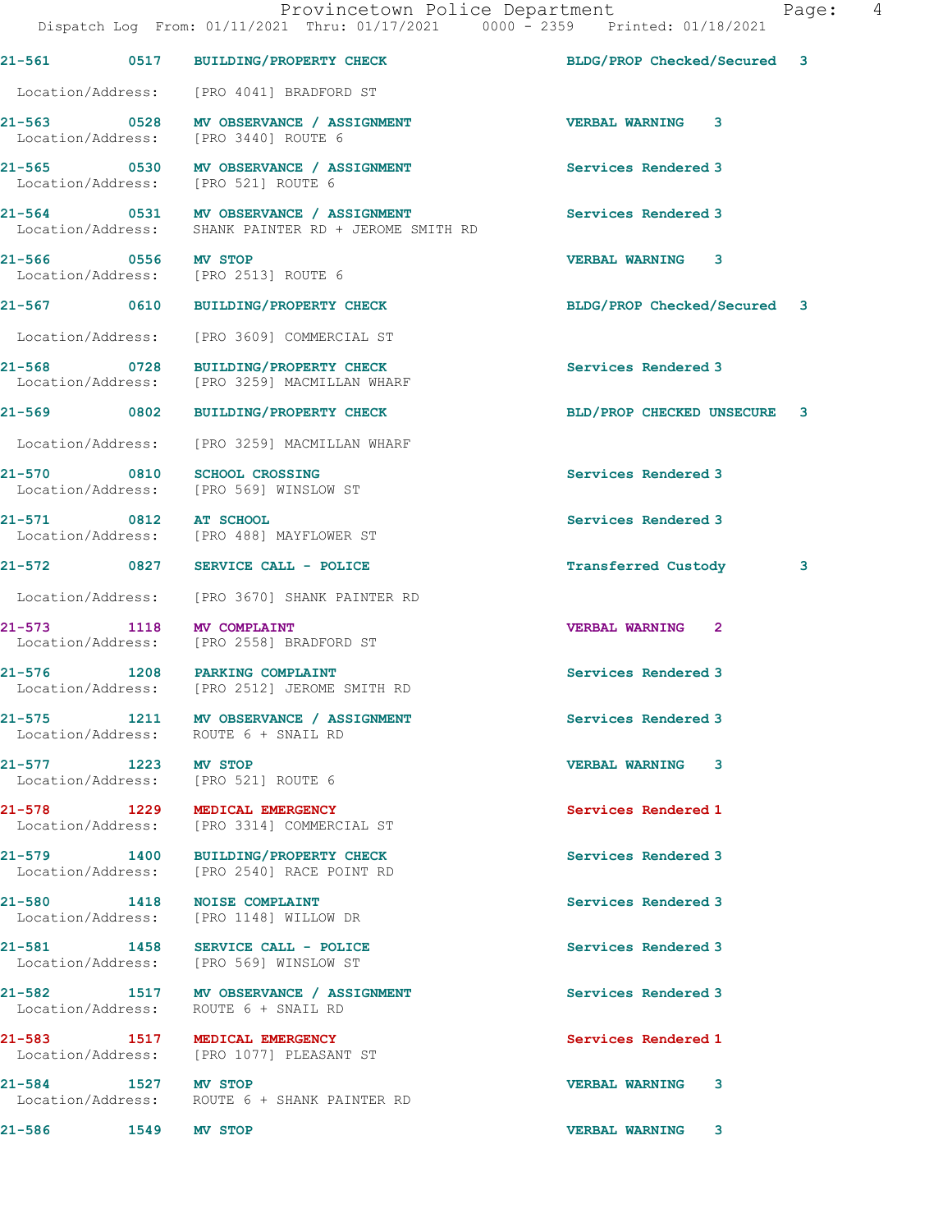|                             | Provincetown Police Department<br>Dispatch Log From: 01/11/2021 Thru: 01/17/2021 0000 - 2359 Printed: 01/18/2021 | Page: 4                         |  |
|-----------------------------|------------------------------------------------------------------------------------------------------------------|---------------------------------|--|
|                             | 21-561 0517 BUILDING/PROPERTY CHECK                                                                              | BLDG/PROP Checked/Secured 3     |  |
|                             | Location/Address: [PRO 4041] BRADFORD ST                                                                         |                                 |  |
|                             | 21-563 0528 MV OBSERVANCE / ASSIGNMENT<br>Location/Address: [PRO 3440] ROUTE 6                                   | <b>VERBAL WARNING 3</b>         |  |
|                             | 21-565 0530 MV OBSERVANCE / ASSIGNMENT<br>Location/Address: [PRO 521] ROUTE 6                                    | Services Rendered 3             |  |
|                             | 21-564 0531 MV OBSERVANCE / ASSIGNMENT<br>Location/Address: SHANK PAINTER RD + JEROME SMITH RD                   | Services Rendered 3             |  |
| 21-566 0556 MV STOP         | Location/Address: [PRO 2513] ROUTE 6                                                                             | <b>VERBAL WARNING 3</b>         |  |
|                             | 21-567 0610 BUILDING/PROPERTY CHECK                                                                              | BLDG/PROP Checked/Secured 3     |  |
|                             | Location/Address: [PRO 3609] COMMERCIAL ST                                                                       |                                 |  |
| 21-568                      | 0728 BUILDING/PROPERTY CHECK<br>Location/Address: [PRO 3259] MACMILLAN WHARF                                     | Services Rendered 3             |  |
|                             | 21-569 0802 BUILDING/PROPERTY CHECK                                                                              | BLD/PROP CHECKED UNSECURE 3     |  |
|                             | Location/Address: [PRO 3259] MACMILLAN WHARF                                                                     |                                 |  |
| 21-570 0810 SCHOOL CROSSING | Location/Address: [PRO 569] WINSLOW ST                                                                           | Services Rendered 3             |  |
| 21-571 0812 AT SCHOOL       | Location/Address: [PRO 488] MAYFLOWER ST                                                                         | Services Rendered 3             |  |
|                             | 21-572 0827 SERVICE CALL - POLICE                                                                                | <b>Transferred Custody</b><br>3 |  |
|                             | Location/Address: [PRO 3670] SHANK PAINTER RD                                                                    |                                 |  |
| 21-573 1118 MV COMPLAINT    | Location/Address: [PRO 2558] BRADFORD ST                                                                         | <b>VERBAL WARNING 2</b>         |  |
|                             | 21-576 1208 PARKING COMPLAINT<br>Location/Address: [PRO 2512] JEROME SMITH RD                                    | Services Rendered 3             |  |
|                             | 21-575 1211 MV OBSERVANCE / ASSIGNMENT<br>Location/Address: ROUTE 6 + SNAIL RD                                   | Services Rendered 3             |  |

21-577 1223 MV STOP 120 21-577 223 MV STOP 120 21-577 223 VERBAL WARNING Location/Address: [PRO 521] ROUTE 6

21-578 1229 MEDICAL EMERGENCY Services Rendered 1 Location/Address: [PRO 3314] COMMERCIAL ST

21-579 1400 BUILDING/PROPERTY CHECK Services Rendered 3 Location/Address: [PRO 2540] RACE POINT RD

21-580 1418 NOISE COMPLAINT SERVICES Rendered 3 Location/Address: [PRO 1148] WILLOW DR

21-581 1458 SERVICE CALL - POLICE Services Rendered 3 Location/Address: [PRO 569] WINSLOW ST

21-582 1517 MV OBSERVANCE / ASSIGNMENT Services Rendered 3 Location/Address: ROUTE 6 + SNAIL RD

21-583 1517 MEDICAL EMERGENCY Services Rendered 1 Location/Address: [PRO 1077] PLEASANT ST

21-584 1527 MV STOP VERBAL WARNING 3 Location/Address: ROUTE 6 + SHANK PAINTER RD

21-586 1549 MV STOP VERBAL WARNING 3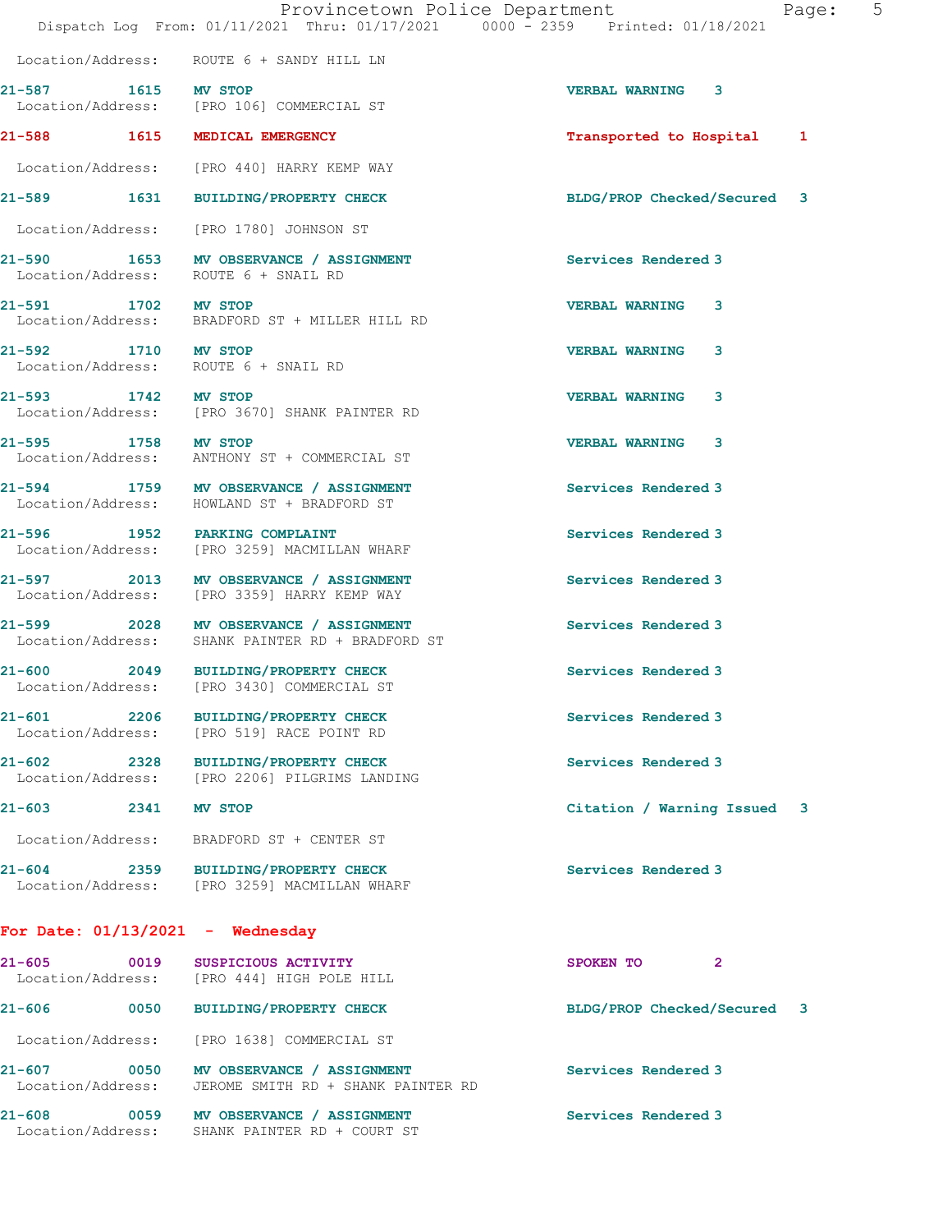|                                      |                                                                                            | Provincetown Police Department<br>5<br>Page:<br>Dispatch Log From: 01/11/2021 Thru: 01/17/2021 0000 - 2359 Printed: 01/18/2021 |
|--------------------------------------|--------------------------------------------------------------------------------------------|--------------------------------------------------------------------------------------------------------------------------------|
|                                      | Location/Address: ROUTE 6 + SANDY HILL LN                                                  |                                                                                                                                |
| 21-587 1615 MV STOP                  | Location/Address: [PRO 106] COMMERCIAL ST                                                  | VERBAL WARNING 3                                                                                                               |
|                                      | 21-588 1615 MEDICAL EMERGENCY                                                              | Transported to Hospital 1                                                                                                      |
|                                      | Location/Address: [PRO 440] HARRY KEMP WAY                                                 |                                                                                                                                |
|                                      | 21-589 1631 BUILDING/PROPERTY CHECK                                                        | BLDG/PROP Checked/Secured 3                                                                                                    |
|                                      | Location/Address: [PRO 1780] JOHNSON ST                                                    |                                                                                                                                |
| $21 - 590$                           | 1653 MV OBSERVANCE / ASSIGNMENT<br>Location/Address: ROUTE 6 + SNAIL RD                    | Services Rendered 3                                                                                                            |
| 21-591 1702 MV STOP                  | Location/Address: BRADFORD ST + MILLER HILL RD                                             | <b>VERBAL WARNING</b><br>3                                                                                                     |
| 21-592 1710 MV STOP                  | Location/Address: ROUTE 6 + SNAIL RD                                                       | <b>VERBAL WARNING</b><br>3                                                                                                     |
| 21-593 1742 MV STOP                  | Location/Address: [PRO 3670] SHANK PAINTER RD                                              | <b>VERBAL WARNING</b><br>3                                                                                                     |
| 21-595 1758 MV STOP                  | Location/Address: ANTHONY ST + COMMERCIAL ST                                               | <b>VERBAL WARNING 3</b>                                                                                                        |
|                                      | 21-594 1759 MV OBSERVANCE / ASSIGNMENT<br>Location/Address: HOWLAND ST + BRADFORD ST       | Services Rendered 3                                                                                                            |
|                                      | 21-596 1952 PARKING COMPLAINT<br>Location/Address: [PRO 3259] MACMILLAN WHARF              | Services Rendered 3                                                                                                            |
|                                      | 21-597 2013 MV OBSERVANCE / ASSIGNMENT<br>Location/Address: [PRO 3359] HARRY KEMP WAY      | Services Rendered 3                                                                                                            |
|                                      | 21-599 2028 MV OBSERVANCE / ASSIGNMENT<br>Location/Address: SHANK PAINTER RD + BRADFORD ST | Services Rendered 3                                                                                                            |
|                                      | 21-600 2049 BUILDING/PROPERTY CHECK<br>Location/Address: [PRO 3430] COMMERCIAL ST          | Services Rendered 3                                                                                                            |
| $21 - 601$ 2206<br>Location/Address: | <b>BUILDING/PROPERTY CHECK</b><br>[PRO 519] RACE POINT RD                                  | Services Rendered 3                                                                                                            |
| $21 - 602$                           | 2328 BUILDING/PROPERTY CHECK<br>Location/Address: [PRO 2206] PILGRIMS LANDING              | Services Rendered 3                                                                                                            |
| $21 - 603$<br>2341 MV STOP           |                                                                                            | Citation / Warning Issued 3                                                                                                    |
| Location/Address:                    | BRADFORD ST + CENTER ST                                                                    |                                                                                                                                |
| $21 - 604$                           | 2359 BUILDING/PROPERTY CHECK<br>Location/Address: [PRO 3259] MACMILLAN WHARF               | Services Rendered 3                                                                                                            |
| For Date: $01/13/2021$ - Wednesday   |                                                                                            |                                                                                                                                |
| $21 - 605$                           | 0019 SUSPICIOUS ACTIVITY<br>Location/Address: [PRO 444] HIGH POLE HILL                     | SPOKEN TO<br>$\mathbf{2}$                                                                                                      |
| $21 - 606$                           | 0050 BUILDING/PROPERTY CHECK                                                               | BLDG/PROP Checked/Secured 3                                                                                                    |
| Location/Address:                    | [PRO 1638] COMMERCIAL ST                                                                   |                                                                                                                                |

21-607 0050 MV OBSERVANCE / ASSIGNMENT Services Rendered 3 Location/Address: JEROME SMITH RD + SHANK PAINTER RD

21-608 0059 MV OBSERVANCE / ASSIGNMENT Services Rendered 3 Location/Address: SHANK PAINTER RD + COURT ST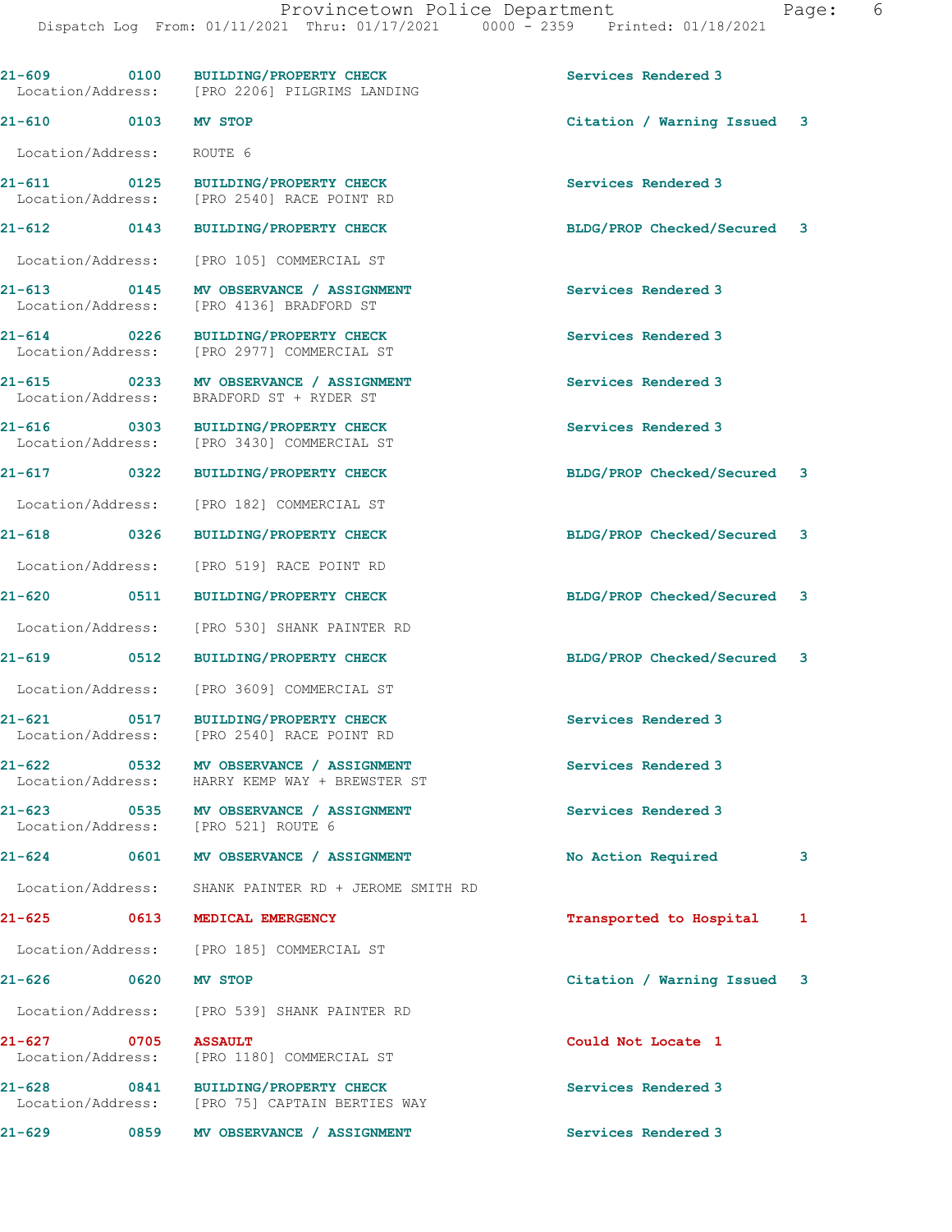|                                      |                   | 21-609 0100 BUILDING/PROPERTY CHECK                                            | Services Rendered 3         |    |
|--------------------------------------|-------------------|--------------------------------------------------------------------------------|-----------------------------|----|
|                                      |                   | Location/Address: [PRO 2206] PILGRIMS LANDING                                  |                             |    |
| 21-610 0103 MV STOP                  |                   |                                                                                | Citation / Warning Issued 3 |    |
| Location/Address: ROUTE 6            |                   |                                                                                |                             |    |
| 21-611 0125                          |                   | BUILDING/PROPERTY CHECK<br>Location/Address: [PRO 2540] RACE POINT RD          | Services Rendered 3         |    |
|                                      |                   | 21-612 0143 BUILDING/PROPERTY CHECK                                            | BLDG/PROP Checked/Secured 3 |    |
| Location/Address:                    |                   | [PRO 105] COMMERCIAL ST                                                        |                             |    |
| 21-613 0145<br>Location/Address:     |                   | MV OBSERVANCE / ASSIGNMENT<br>[PRO 4136] BRADFORD ST                           | Services Rendered 3         |    |
| $21 - 614$ 0226<br>Location/Address: |                   | BUILDING/PROPERTY CHECK<br>[PRO 2977] COMMERCIAL ST                            | Services Rendered 3         |    |
| 21-615 0233<br>Location/Address:     |                   | MV OBSERVANCE / ASSIGNMENT<br>BRADFORD ST + RYDER ST                           | Services Rendered 3         |    |
| $21 - 616$ 0303<br>Location/Address: |                   | BUILDING/PROPERTY CHECK<br>[PRO 3430] COMMERCIAL ST                            | Services Rendered 3         |    |
| $21 - 617$ 0322                      |                   | <b>BUILDING/PROPERTY CHECK</b>                                                 | BLDG/PROP Checked/Secured 3 |    |
| Location/Address:                    |                   | [PRO 182] COMMERCIAL ST                                                        |                             |    |
|                                      |                   | 21-618 0326 BUILDING/PROPERTY CHECK                                            | BLDG/PROP Checked/Secured 3 |    |
| Location/Address:                    |                   | [PRO 519] RACE POINT RD                                                        |                             |    |
|                                      |                   | 21-620 0511 BUILDING/PROPERTY CHECK                                            | BLDG/PROP Checked/Secured 3 |    |
|                                      |                   | Location/Address: [PRO 530] SHANK PAINTER RD                                   |                             |    |
| $21 - 619$ 0512                      |                   | <b>BUILDING/PROPERTY CHECK</b>                                                 | BLDG/PROP Checked/Secured 3 |    |
| Location/Address:                    |                   | [PRO 3609] COMMERCIAL ST                                                       |                             |    |
| Location/Address:                    |                   | 21-621 0517 BUILDING/PROPERTY CHECK<br>[PRO 2540] RACE POINT RD                | Services Rendered 3         |    |
| $21 - 622$<br>Location/Address:      | $\overline{0532}$ | MV OBSERVANCE / ASSIGNMENT<br>HARRY KEMP WAY + BREWSTER ST                     | Services Rendered 3         |    |
| $21 - 623$                           |                   | 0535 MV OBSERVANCE / ASSIGNMENT<br>Location/Address: [PRO 521] ROUTE 6         | Services Rendered 3         |    |
| $21 - 624$                           | 0601              | MV OBSERVANCE / ASSIGNMENT                                                     | No Action Required          | 3  |
| Location/Address:                    |                   | SHANK PAINTER RD + JEROME SMITH RD                                             |                             |    |
| 21-625 0613                          |                   | MEDICAL EMERGENCY                                                              | Transported to Hospital     | 1  |
|                                      |                   | Location/Address: [PRO 185] COMMERCIAL ST                                      |                             |    |
| $21 - 626$                           | 0620              | MV STOP                                                                        | Citation / Warning Issued   | -3 |
| Location/Address:                    |                   | [PRO 539] SHANK PAINTER RD                                                     |                             |    |
| 21-627 0705<br>Location/Address:     |                   | <b>ASSAULT</b><br>[PRO 1180] COMMERCIAL ST                                     | Could Not Locate 1          |    |
| $21 - 628$                           |                   | 0841 BUILDING/PROPERTY CHECK<br>Location/Address: [PRO 75] CAPTAIN BERTIES WAY | Services Rendered 3         |    |
| $21 - 629$                           |                   | 0859 MV OBSERVANCE / ASSIGNMENT                                                | Services Rendered 3         |    |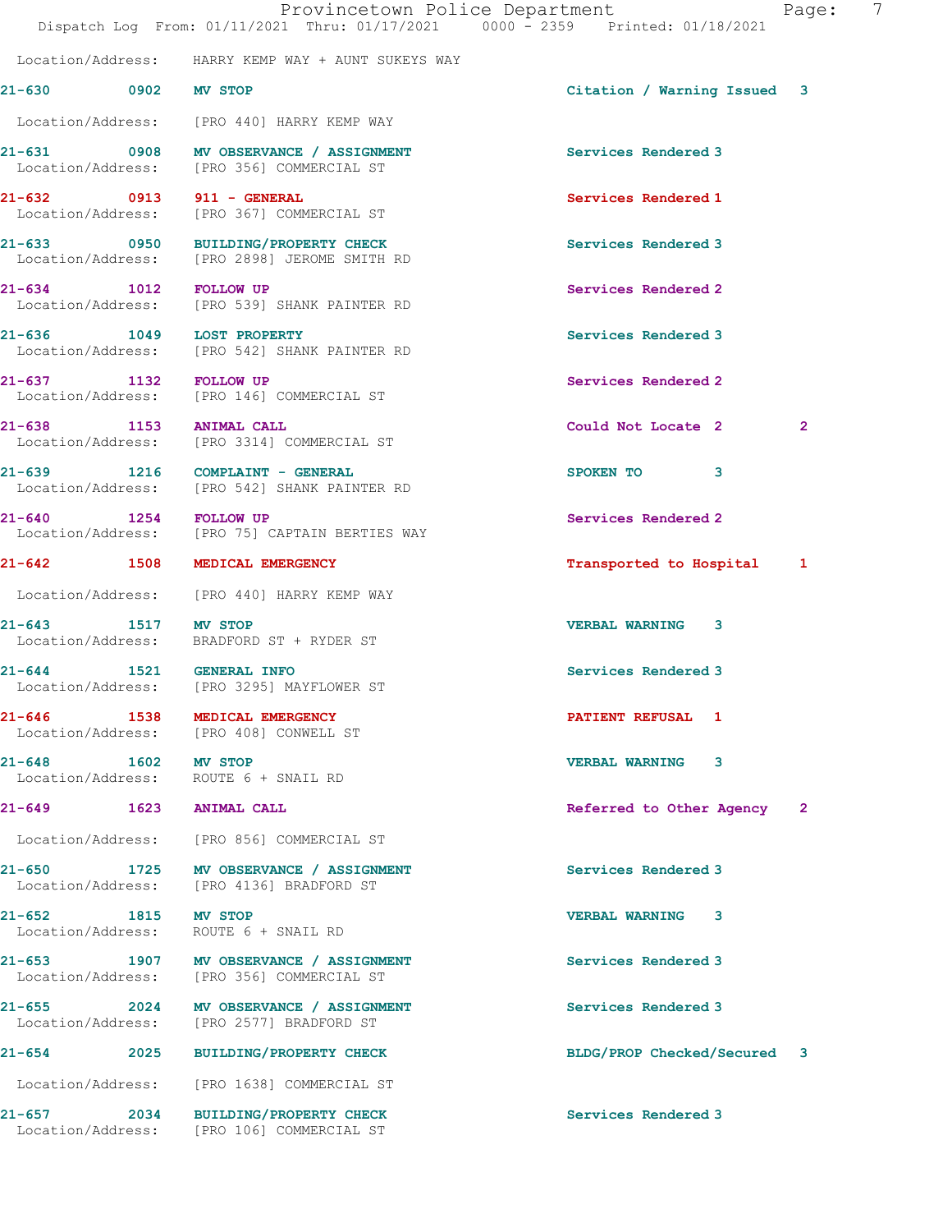|                       | Provincetown Police Department<br>Dispatch Log From: 01/11/2021 Thru: 01/17/2021 0000 - 2359 Printed: 01/18/2021 |                             | Page:          | 7 |
|-----------------------|------------------------------------------------------------------------------------------------------------------|-----------------------------|----------------|---|
|                       | Location/Address: HARRY KEMP WAY + AUNT SUKEYS WAY                                                               |                             |                |   |
| 21-630 0902 MV STOP   |                                                                                                                  | Citation / Warning Issued 3 |                |   |
|                       | Location/Address: [PRO 440] HARRY KEMP WAY                                                                       |                             |                |   |
|                       | 21-631 0908 MV OBSERVANCE / ASSIGNMENT<br>Location/Address: [PRO 356] COMMERCIAL ST                              | Services Rendered 3         |                |   |
|                       | 21-632 0913 911 - GENERAL<br>Location/Address: [PRO 367] COMMERCIAL ST                                           | Services Rendered 1         |                |   |
|                       | 21-633 0950 BUILDING/PROPERTY CHECK<br>Location/Address: [PRO 2898] JEROME SMITH RD                              | Services Rendered 3         |                |   |
| 21-634 1012 FOLLOW UP | Location/Address: [PRO 539] SHANK PAINTER RD                                                                     | Services Rendered 2         |                |   |
|                       | 21-636 1049 LOST PROPERTY<br>Location/Address: [PRO 542] SHANK PAINTER RD                                        | Services Rendered 3         |                |   |
| 21-637 1132 FOLLOW UP | Location/Address: [PRO 146] COMMERCIAL ST                                                                        | Services Rendered 2         |                |   |
|                       | 21-638 1153 ANIMAL CALL<br>Location/Address: [PRO 3314] COMMERCIAL ST                                            | Could Not Locate 2          | $\overline{2}$ |   |
|                       | 21-639 1216 COMPLAINT - GENERAL<br>Location/Address: [PRO 542] SHANK PAINTER RD                                  | SPOKEN TO<br>3              |                |   |
| 21-640                | 1254 FOLLOW UP<br>Location/Address: [PRO 75] CAPTAIN BERTIES WAY                                                 | Services Rendered 2         |                |   |
|                       | 21-642 1508 MEDICAL EMERGENCY                                                                                    | Transported to Hospital 1   |                |   |
|                       | Location/Address: [PRO 440] HARRY KEMP WAY                                                                       |                             |                |   |
| 21-643 1517 MV STOP   | Location/Address: BRADFORD ST + RYDER ST                                                                         | <b>VERBAL WARNING 3</b>     |                |   |
|                       | 21-644 1521 GENERAL INFO<br>Location/Address: [PRO 3295] MAYFLOWER ST                                            | Services Rendered 3         |                |   |
|                       | 21-646 1538 MEDICAL EMERGENCY<br>Location/Address: [PRO 408] CONWELL ST                                          | <b>PATIENT REFUSAL 1</b>    |                |   |
| 21-648 1602 MV STOP   | Location/Address: ROUTE 6 + SNAIL RD                                                                             | <b>VERBAL WARNING 3</b>     |                |   |
|                       | 21-649 1623 ANIMAL CALL                                                                                          | Referred to Other Agency 2  |                |   |
|                       | Location/Address: [PRO 856] COMMERCIAL ST                                                                        |                             |                |   |
|                       | 21-650 1725 MV OBSERVANCE / ASSIGNMENT<br>Location/Address: [PRO 4136] BRADFORD ST                               | Services Rendered 3         |                |   |
| 21-652 1815 MV STOP   | Location/Address: ROUTE 6 + SNAIL RD                                                                             | <b>VERBAL WARNING 3</b>     |                |   |
|                       | 21-653 1907 MV OBSERVANCE / ASSIGNMENT<br>Location/Address: [PRO 356] COMMERCIAL ST                              | Services Rendered 3         |                |   |
|                       | 21-655 2024 MV OBSERVANCE / ASSIGNMENT<br>Location/Address: [PRO 2577] BRADFORD ST                               | Services Rendered 3         |                |   |
|                       | 21-654 2025 BUILDING/PROPERTY CHECK                                                                              | BLDG/PROP Checked/Secured 3 |                |   |
|                       | Location/Address: [PRO 1638] COMMERCIAL ST                                                                       |                             |                |   |
|                       | 21-657 2034 BUILDING/PROPERTY CHECK<br>Location/Address: [PRO 106] COMMERCIAL ST                                 | Services Rendered 3         |                |   |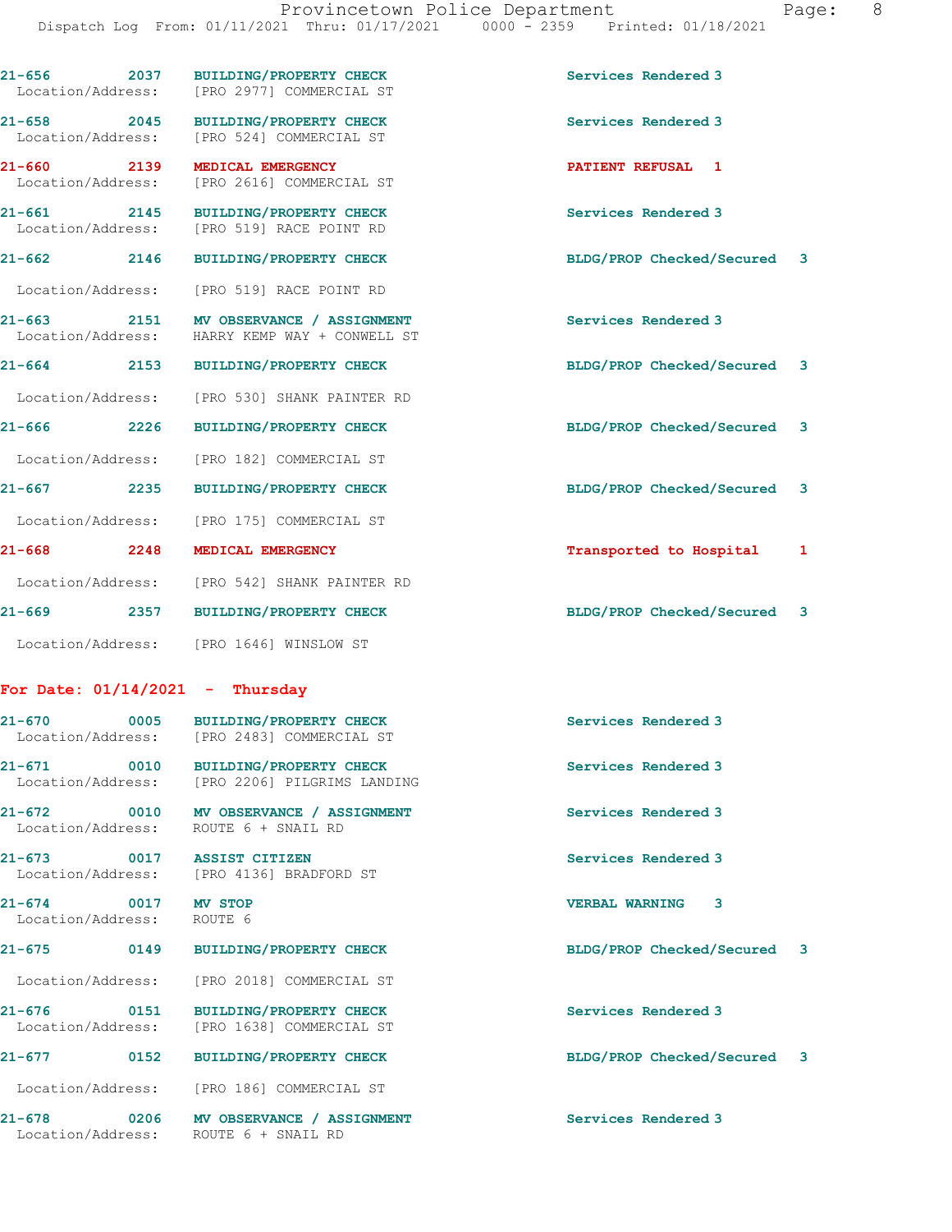| $21 - 656$<br>Location/Address:         | 2037 BUILDING/PROPERTY CHECK<br>[PRO 2977] COMMERCIAL ST                                | Services Rendered 3            |
|-----------------------------------------|-----------------------------------------------------------------------------------------|--------------------------------|
| 21-658 2045<br>Location/Address:        | <b>BUILDING/PROPERTY CHECK</b><br>[PRO 524] COMMERCIAL ST                               | Services Rendered 3            |
| 21-660 2139<br>Location/Address:        | MEDICAL EMERGENCY<br>[PRO 2616] COMMERCIAL ST                                           | PATIENT REFUSAL 1              |
| 21-661 2145<br>Location/Address:        | <b>BUILDING/PROPERTY CHECK</b><br>[PRO 519] RACE POINT RD                               | Services Rendered 3            |
| 21-662<br>2146                          | <b>BUILDING/PROPERTY CHECK</b>                                                          | BLDG/PROP Checked/Secured 3    |
|                                         | Location/Address: [PRO 519] RACE POINT RD                                               |                                |
|                                         | 21-663 2151 MV OBSERVANCE / ASSIGNMENT<br>Location/Address: HARRY KEMP WAY + CONWELL ST | Services Rendered 3            |
| $21 - 664$                              | 2153 BUILDING/PROPERTY CHECK                                                            | BLDG/PROP Checked/Secured 3    |
|                                         | Location/Address: [PRO 530] SHANK PAINTER RD                                            |                                |
| 21-666<br>2226                          | <b>BUILDING/PROPERTY CHECK</b>                                                          | BLDG/PROP Checked/Secured 3    |
| Location/Address:                       | [PRO 182] COMMERCIAL ST                                                                 |                                |
| $21 - 667$<br>2235                      | <b>BUILDING/PROPERTY CHECK</b>                                                          | BLDG/PROP Checked/Secured<br>3 |
| Location/Address:                       | [PRO 175] COMMERCIAL ST                                                                 |                                |
| $21 - 668$<br>2248                      | MEDICAL EMERGENCY                                                                       | Transported to Hospital<br>1   |
|                                         | Location/Address: [PRO 542] SHANK PAINTER RD                                            |                                |
| $21 - 669$<br>2357                      | <b>BUILDING/PROPERTY CHECK</b>                                                          | BLDG/PROP Checked/Secured 3    |
|                                         | Location/Address: [PRO 1646] WINSLOW ST                                                 |                                |
| For Date: $01/14/2021$ - Thursday       |                                                                                         |                                |
| Location/Address:                       | 21-670 0005 BUILDING/PROPERTY CHECK<br>[PRO 2483] COMMERCIAL ST                         | Services Rendered 3            |
| 21-671<br>0010                          | <b>BUILDING/PROPERTY CHECK</b><br>Location/Address: [PRO 2206] PILGRIMS LANDING         | Services Rendered 3            |
| Location/Address:                       | 21-672 0010 MV OBSERVANCE / ASSIGNMENT<br>ROUTE 6 + SNAIL RD                            | Services Rendered 3            |
| $21 - 673$<br>Location/Address:         | 0017 ASSIST CITIZEN<br>[PRO 4136] BRADFORD ST                                           | Services Rendered 3            |
| $21 - 674$ 0017<br>Location/Address:    | <b>MV STOP</b><br>ROUTE 6                                                               | <b>VERBAL WARNING</b><br>3     |
| $21 - 675$<br>0149                      | <b>BUILDING/PROPERTY CHECK</b>                                                          | BLDG/PROP Checked/Secured 3    |
|                                         | Location/Address: [PRO 2018] COMMERCIAL ST                                              |                                |
| $21 - 676$<br>0151<br>Location/Address: | <b>BUILDING/PROPERTY CHECK</b><br>[PRO 1638] COMMERCIAL ST                              | Services Rendered 3            |
| $21 - 677$<br>0152                      | <b>BUILDING/PROPERTY CHECK</b>                                                          | BLDG/PROP Checked/Secured 3    |

Location/Address: [PRO 186] COMMERCIAL ST

21-678 0206 MV OBSERVANCE / ASSIGNMENT Services Rendered 3

Location/Address: ROUTE 6 + SNAIL RD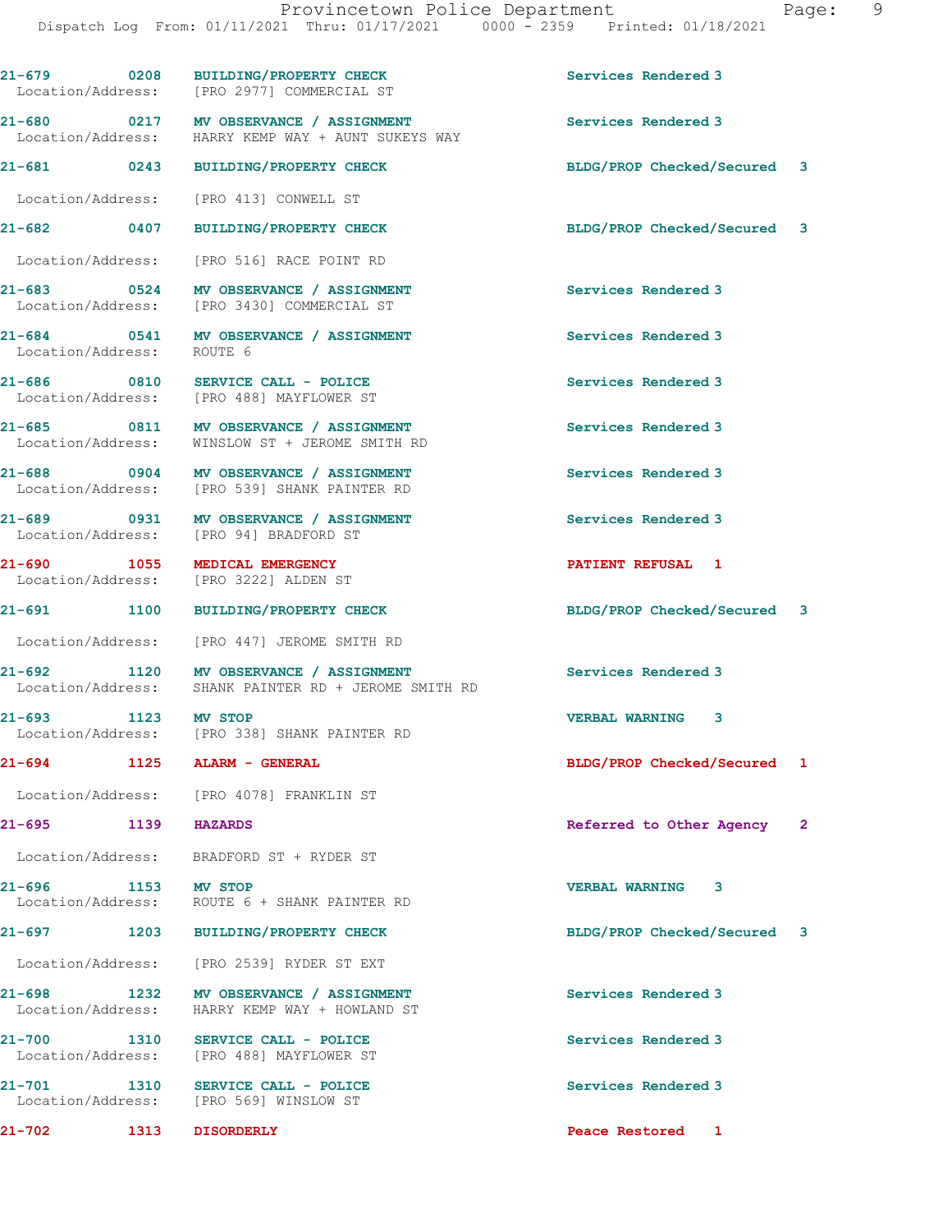21-679 0208 BUILDING/PROPERTY CHECK Services Rendered 3 Location/Address: [PRO 2977] COMMERCIAL ST 21-680 0217 MV OBSERVANCE / ASSIGNMENT States and Services Rendered 3<br>
Location/Address: HARRY KEMP WAY + AUNT SUKEYS WAY HARRY KEMP WAY + AUNT SUKEYS WAY 21-681 0243 BUILDING/PROPERTY CHECK BLDG/PROP Checked/Secured 3 Location/Address: [PRO 413] CONWELL ST 21-682 0407 BUILDING/PROPERTY CHECK BLDG/PROP Checked/Secured 3 Location/Address: [PRO 516] RACE POINT RD 21-683 0524 MV OBSERVANCE / ASSIGNMENT Services Rendered 3 Location/Address: [PRO 3430] COMMERCIAL ST 21-684 0541 MV OBSERVANCE / ASSIGNMENT Services Rendered 3 Location/Address: ROUTE 6 21-686 0810 SERVICE CALL - POLICE Services Rendered 3 Location/Address: [PRO 488] MAYFLOWER ST 21-685 0811 MV OBSERVANCE / ASSIGNMENT Services Rendered 3<br>
Location/Address: WINSLOW ST + JEROME SMITH RD WINSLOW ST + JEROME SMITH RD 21-688 0904 MV OBSERVANCE / ASSIGNMENT Services Rendered 3 Location/Address: [PRO 539] SHANK PAINTER RD 21-689 0931 MV OBSERVANCE / ASSIGNMENT Services Rendered 3 Location/Address: [PRO 94] BRADFORD ST 21-690 1055 MEDICAL EMERGENCY **PATIENT REFUSAL 1**<br>Location/Address: [PRO 3222] ALDEN ST [PRO 3222] ALDEN ST 21-691 1100 BUILDING/PROPERTY CHECK BLDG/PROP Checked/Secured 3 Location/Address: [PRO 447] JEROME SMITH RD 21-692 1120 MV OBSERVANCE / ASSIGNMENT Services Rendered 3 Location/Address: SHANK PAINTER RD + JEROME SMITH RD 21-693 1123 MV STOP VERBAL WARNING 3 Location/Address: [PRO 338] SHANK PAINTER RD 21-694 1125 ALARM - GENERAL BLDG/PROP Checked/Secured 1 Location/Address: [PRO 4078] FRANKLIN ST 21-695 1139 HAZARDS Referred to Other Agency 2 Location/Address: BRADFORD ST + RYDER ST 21-696 1153 MV STOP VERBAL WARNING 3 Location/Address: ROUTE 6 + SHANK PAINTER RD 21-697 1203 BUILDING/PROPERTY CHECK BLDG/PROP Checked/Secured 3 Location/Address: [PRO 2539] RYDER ST EXT 21-698 1232 MV OBSERVANCE / ASSIGNMENT Services Rendered 3<br>
Location/Address: HARRY KEMP WAY + HOWLAND ST HARRY KEMP WAY + HOWLAND ST 21-700 1310 SERVICE CALL - POLICE 21-700 Services Rendered 3<br>
Location/Address: [PRO 488] MAYFLOWER ST [PRO 488] MAYFLOWER ST 21-701 1310 SERVICE CALL - POLICE 21 Services Rendered 3 Location/Address: [PRO 569] WINSLOW ST 21-702 1313 DISORDERLY Peace Restored 1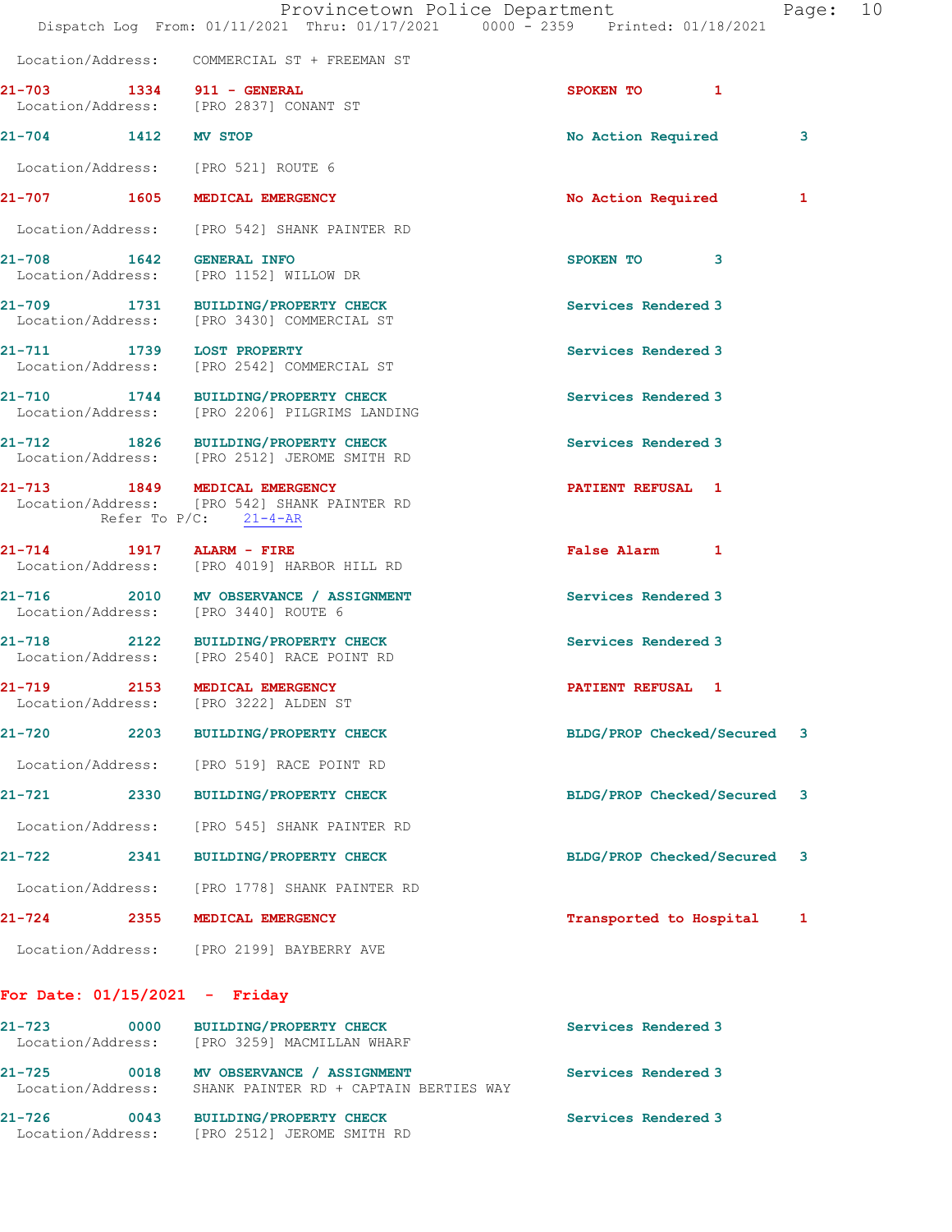21-704 1412 MV STOP 120 21-704 No Action Required 3 Location/Address: [PRO 521] ROUTE 6

21-707 1605 MEDICAL EMERGENCY No South Article Required 1

Location/Address: [PRO 542] SHANK PAINTER RD

21-708 1642 GENERAL INFO SPOKEN TO 3 Location/Address: [PRO 1152] WILLOW DR

21-709 1731 BUILDING/PROPERTY CHECK Services Rendered 3 Location/Address: [PRO 3430] COMMERCIAL ST

21-711 1739 LOST PROPERTY 1788 Services Rendered 3 Location/Address: [PRO 2542] COMMERCIAL ST

21-710 1744 BUILDING/PROPERTY CHECK Services Rendered 3 Location/Address: [PRO 2206] PILGRIMS LANDING

21-712 1826 BUILDING/PROPERTY CHECK Services Rendered 3 Location/Address: [PRO 2512] JEROME SMITH RD

21-713 1849 MEDICAL EMERGENCY **121-713** PATIENT REFUSAL 1 Location/Address: [PRO 542] SHANK PAINTER RD Refer To  $P/C$ :  $21-4-AR$ 

21-714 1917 ALARM - FIRE False Alarm 1 Location/Address: [PRO 4019] HARBOR HILL RD

21-716 2010 MV OBSERVANCE / ASSIGNMENT Services Rendered 3 Location/Address: [PRO 3440] ROUTE 6

21-718 2122 BUILDING/PROPERTY CHECK 21-718 Location/Address: [PRO 2540] RACE POINT RD

21-719 2153 MEDICAL EMERGENCY PATIENT REFUSAL 1

Location/Address: [PRO 519] RACE POINT RD

Location/Address: [PRO 545] SHANK PAINTER RD

21-722 2341 BUILDING/PROPERTY CHECK BLDG/PROP Checked/Secured 3

[PRO 3222] ALDEN ST

Location/Address: [PRO 1778] SHANK PAINTER RD

21-724 2355 MEDICAL EMERGENCY Transported to Hospital 1

Location/Address: [PRO 2199] BAYBERRY AVE

For Date: 01/15/2021 - Friday

21-723 0000 BUILDING/PROPERTY CHECK Services Rendered 3 Location/Address: [PRO 3259] MACMILLAN WHARF 21-725 0018 MV OBSERVANCE / ASSIGNMENT Services Rendered 3 Location/Address: SHANK PAINTER RD + CAPTAIN BERTIES WAY 21-726 0043 BUILDING/PROPERTY CHECK Services Rendered 3 Location/Address: [PRO 2512] JEROME SMITH RD

21-720 2203 BUILDING/PROPERTY CHECK BLDG/PROP Checked/Secured 3

21-721 2330 BUILDING/PROPERTY CHECK BLDG/PROP Checked/Secured 3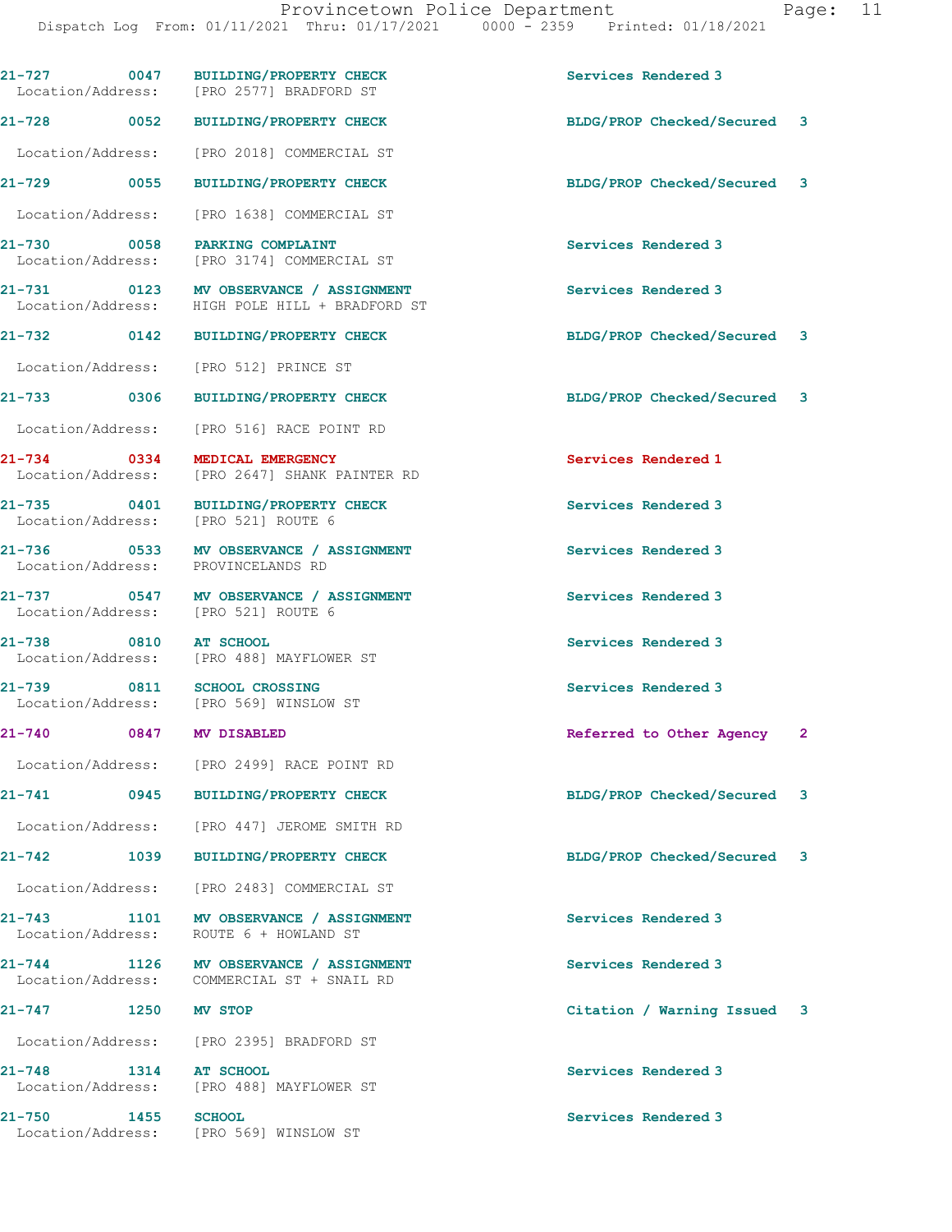Dispatch Log From: 01/11/2021 Thru: 01/17/2021 0000 - 2359 Printed: 01/18/2021

|                     |      | 21-727 0047 BUILDING/PROPERTY CHECK<br>Location/Address: [PRO 2577] BRADFORD ST          | Services Rendered 3         |              |
|---------------------|------|------------------------------------------------------------------------------------------|-----------------------------|--------------|
|                     |      | 21-728 0052 BUILDING/PROPERTY CHECK                                                      | BLDG/PROP Checked/Secured 3 |              |
|                     |      | Location/Address: [PRO 2018] COMMERCIAL ST                                               |                             |              |
| 21-729 0055         |      | <b>BUILDING/PROPERTY CHECK</b>                                                           | BLDG/PROP Checked/Secured   | 3            |
| Location/Address:   |      | [PRO 1638] COMMERCIAL ST                                                                 |                             |              |
|                     |      | 21-730 0058 PARKING COMPLAINT<br>Location/Address: [PRO 3174] COMMERCIAL ST              | Services Rendered 3         |              |
|                     |      | 21-731 0123 MV OBSERVANCE / ASSIGNMENT<br>Location/Address: HIGH POLE HILL + BRADFORD ST | Services Rendered 3         |              |
|                     |      | 21-732 0142 BUILDING/PROPERTY CHECK                                                      | BLDG/PROP Checked/Secured 3 |              |
| Location/Address:   |      | [PRO 512] PRINCE ST                                                                      |                             |              |
| 21-733 0306         |      | <b>BUILDING/PROPERTY CHECK</b>                                                           | BLDG/PROP Checked/Secured   | 3            |
|                     |      | Location/Address: [PRO 516] RACE POINT RD                                                |                             |              |
| 21-734 0334         |      | MEDICAL EMERGENCY<br>Location/Address: [PRO 2647] SHANK PAINTER RD                       | Services Rendered 1         |              |
|                     |      | 21-735 0401 BUILDING/PROPERTY CHECK<br>Location/Address: [PRO 521] ROUTE 6               | Services Rendered 3         |              |
|                     |      | 21-736 0533 MV OBSERVANCE / ASSIGNMENT<br>Location/Address: PROVINCELANDS RD             | Services Rendered 3         |              |
|                     |      | 21-737 0547 MV OBSERVANCE / ASSIGNMENT<br>Location/Address: [PRO 521] ROUTE 6            | Services Rendered 3         |              |
| 21-738 0810         |      | <b>AT SCHOOL</b><br>Location/Address: [PRO 488] MAYFLOWER ST                             | Services Rendered 3         |              |
|                     |      | 21-739 0811 SCHOOL CROSSING<br>Location/Address: [PRO 569] WINSLOW ST                    | Services Rendered 3         |              |
| 21-740              |      | 0847 MV DISABLED                                                                         | Referred to Other Agency    | $\mathbf{2}$ |
|                     |      | Location/Address: [PRO 2499] RACE POINT RD                                               |                             |              |
| $21 - 741$          | 0945 | <b>BUILDING/PROPERTY CHECK</b>                                                           | BLDG/PROP Checked/Secured   | 3            |
|                     |      | Location/Address: [PRO 447] JEROME SMITH RD                                              |                             |              |
|                     |      | 21-742 1039 BUILDING/PROPERTY CHECK                                                      | BLDG/PROP Checked/Secured   | 3            |
|                     |      | Location/Address: [PRO 2483] COMMERCIAL ST                                               |                             |              |
| 21-743              |      | 1101 MV OBSERVANCE / ASSIGNMENT<br>Location/Address: ROUTE 6 + HOWLAND ST                | Services Rendered 3         |              |
|                     |      | 21-744 1126 MV OBSERVANCE / ASSIGNMENT<br>Location/Address: COMMERCIAL ST + SNAIL RD     | Services Rendered 3         |              |
| 21-747 1250 MV STOP |      |                                                                                          | Citation / Warning Issued   | 3            |
|                     |      | Location/Address: [PRO 2395] BRADFORD ST                                                 |                             |              |
| 21-748              |      | 1314 AT SCHOOL<br>Location/Address: [PRO 488] MAYFLOWER ST                               | Services Rendered 3         |              |
| 21-750 1455         |      | <b>SCHOOL</b><br>Location/Address: [PRO 569] WINSLOW ST                                  | Services Rendered 3         |              |
|                     |      |                                                                                          |                             |              |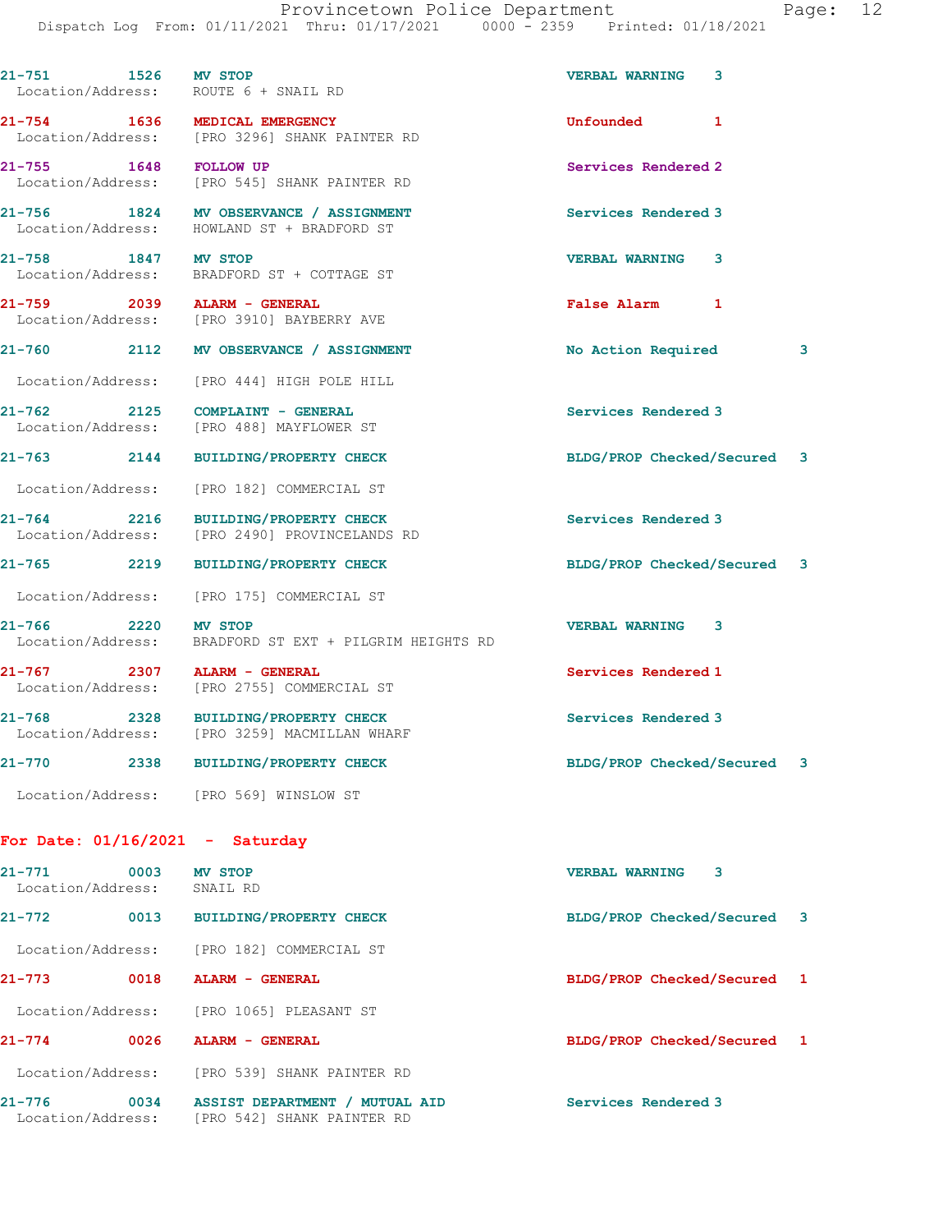|                                                             | 21-751 1526 MV STOP<br>Location/Address: ROUTE 6 + SNAIL RD                          | <b>VERBAL WARNING</b><br>3  |   |
|-------------------------------------------------------------|--------------------------------------------------------------------------------------|-----------------------------|---|
|                                                             | 21-754 1636 MEDICAL EMERGENCY<br>Location/Address: [PRO 3296] SHANK PAINTER RD       | Unfounded 1                 |   |
| 21-755 1648 FOLLOW UP                                       | Location/Address: [PRO 545] SHANK PAINTER RD                                         | Services Rendered 2         |   |
|                                                             | 21-756 1824 MV OBSERVANCE / ASSIGNMENT<br>Location/Address: HOWLAND ST + BRADFORD ST | Services Rendered 3         |   |
| 21-758 1847 MV STOP                                         | Location/Address: BRADFORD ST + COTTAGE ST                                           | <b>VERBAL WARNING 3</b>     |   |
|                                                             | 21-759 2039 ALARM - GENERAL<br>Location/Address: [PRO 3910] BAYBERRY AVE             | False Alarm 1               |   |
|                                                             | 21-760 2112 MV OBSERVANCE / ASSIGNMENT                                               | No Action Required          | 3 |
|                                                             | Location/Address: [PRO 444] HIGH POLE HILL                                           |                             |   |
|                                                             | 21-762 2125 COMPLAINT - GENERAL<br>Location/Address: [PRO 488] MAYFLOWER ST          | Services Rendered 3         |   |
|                                                             | 21-763 2144 BUILDING/PROPERTY CHECK                                                  | BLDG/PROP Checked/Secured 3 |   |
|                                                             | Location/Address: [PRO 182] COMMERCIAL ST                                            |                             |   |
|                                                             | 21-764 2216 BUILDING/PROPERTY CHECK<br>Location/Address: [PRO 2490] PROVINCELANDS RD | Services Rendered 3         |   |
|                                                             | 21-765 2219 BUILDING/PROPERTY CHECK                                                  | BLDG/PROP Checked/Secured 3 |   |
|                                                             | Location/Address: [PRO 175] COMMERCIAL ST                                            |                             |   |
| 21-766 2220 MV STOP<br>Location/Address:                    | BRADFORD ST EXT + PILGRIM HEIGHTS RD                                                 | <b>VERBAL WARNING 3</b>     |   |
|                                                             | 21-767 2307 ALARM - GENERAL<br>Location/Address: [PRO 2755] COMMERCIAL ST            | Services Rendered 1         |   |
|                                                             | 21-768 2328 BUILDING/PROPERTY CHECK<br>Location/Address: [PRO 3259] MACMILLAN WHARF  | Services Rendered 3         |   |
| $21 - 770$                                                  | 2338 BUILDING/PROPERTY CHECK                                                         | BLDG/PROP Checked/Secured 3 |   |
|                                                             |                                                                                      |                             |   |
| Location/Address: [PRO 569] WINSLOW ST                      |                                                                                      |                             |   |
| For Date: $01/16/2021$ - Saturday                           |                                                                                      |                             |   |
| 21-771<br>$\sim$ 0003 MV STOP<br>Location/Address: SNAIL RD |                                                                                      | <b>VERBAL WARNING 3</b>     |   |
|                                                             | 21-772 0013 BUILDING/PROPERTY CHECK                                                  | BLDG/PROP Checked/Secured 3 |   |
|                                                             | Location/Address: [PRO 182] COMMERCIAL ST                                            |                             |   |
|                                                             | 0018 ALARM - GENERAL                                                                 | BLDG/PROP Checked/Secured 1 |   |
| 21-773                                                      | Location/Address: [PRO 1065] PLEASANT ST                                             |                             |   |
| 21-774 0026 ALARM - GENERAL                                 |                                                                                      | BLDG/PROP Checked/Secured 1 |   |
|                                                             | Location/Address: [PRO 539] SHANK PAINTER RD                                         |                             |   |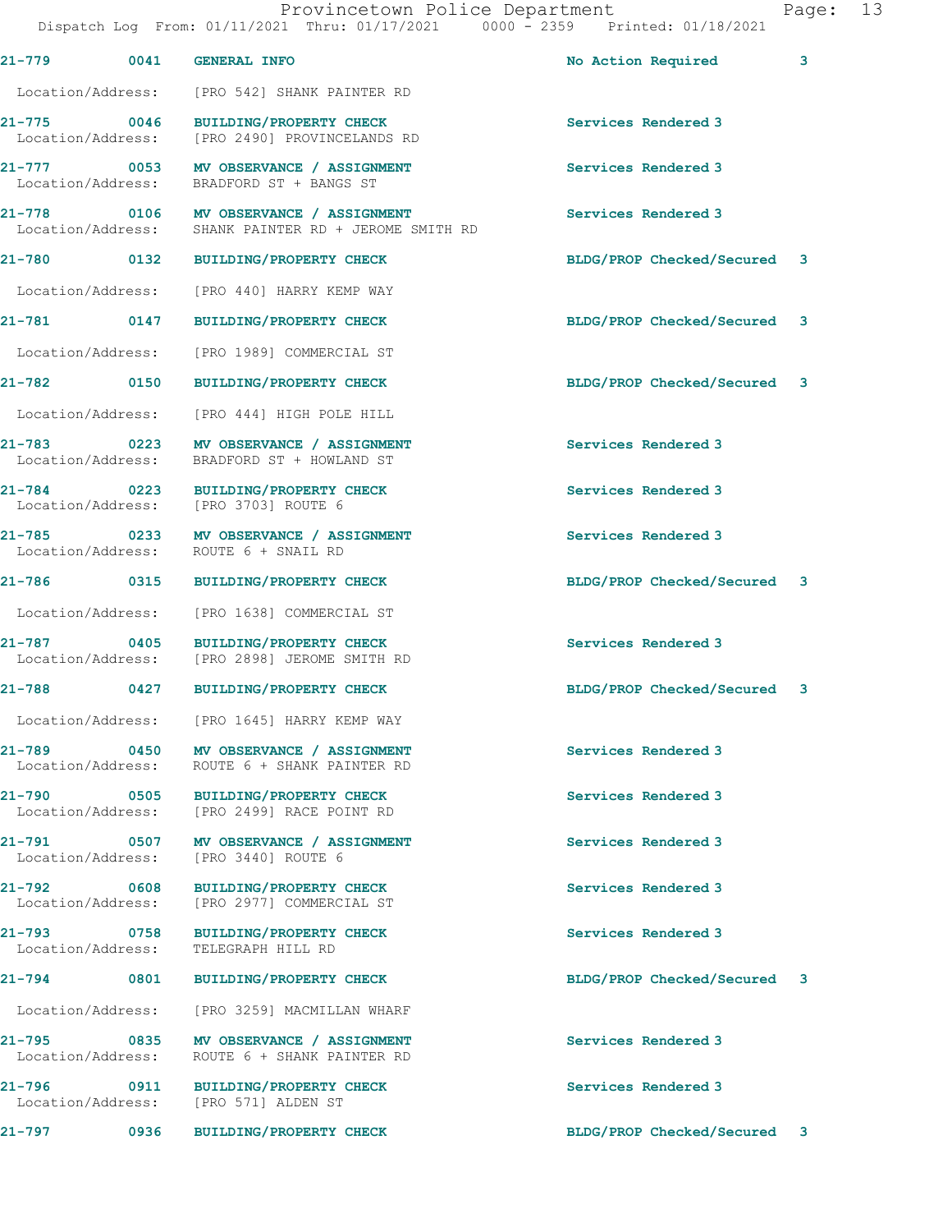21-779 0041 GENERAL INFO 2008 21-779 No Action Required 3 Location/Address: [PRO 542] SHANK PAINTER RD 21-775 0046 BUILDING/PROPERTY CHECK Services Rendered 3 Location/Address: [PRO 2490] PROVINCELANDS RD 21-777 0053 MV OBSERVANCE / ASSIGNMENT Services Rendered 3 Location/Address: BRADFORD ST + BANGS ST 21-778 0106 MV OBSERVANCE / ASSIGNMENT Services Rendered 3<br>
Location/Address: SHANK PAINTER RD + JEROME SMITH RD SHANK PAINTER RD + JEROME SMITH RD 21-780 0132 BUILDING/PROPERTY CHECK BLDG/PROP Checked/Secured 3 Location/Address: [PRO 440] HARRY KEMP WAY 21-781 0147 BUILDING/PROPERTY CHECK BLDG/PROP Checked/Secured 3 Location/Address: [PRO 1989] COMMERCIAL ST 21-782 0150 BUILDING/PROPERTY CHECK BLDG/PROP Checked/Secured 3 Location/Address: [PRO 444] HIGH POLE HILL 21-783 0223 MV OBSERVANCE / ASSIGNMENT Services Rendered 3<br>
Location/Address: BRADFORD ST + HOWLAND ST BRADFORD ST + HOWLAND ST 21-784 0223 BUILDING/PROPERTY CHECK Services Rendered 3<br>
Location/Address: [PRO 3703] ROUTE 6 [PRO 3703] ROUTE 6 21-785 0233 MV OBSERVANCE / ASSIGNMENT Services Rendered 3<br>
Location/Address: ROUTE 6 + SNAIL RD ROUTE 6 + SNAIL RD 21-786 0315 BUILDING/PROPERTY CHECK BLDG/PROP Checked/Secured 3 Location/Address: [PRO 1638] COMMERCIAL ST 21-787 0405 BUILDING/PROPERTY CHECK Services Rendered 3<br>
Location/Address: [PRO 2898] JEROME SMITH RD [PRO 2898] JEROME SMITH RD 21-788 0427 BUILDING/PROPERTY CHECK BLDG/PROP Checked/Secured 3 Location/Address: [PRO 1645] HARRY KEMP WAY 21-789 0450 MV OBSERVANCE / ASSIGNMENT Services Rendered 3 Location/Address: ROUTE 6 + SHANK PAINTER RD 21-790 0505 BUILDING/PROPERTY CHECK Services Rendered 3 Location/Address: [PRO 2499] RACE POINT RD 21-791 0507 MV OBSERVANCE / ASSIGNMENT Services Rendered 3 Location/Address: [PRO 3440] ROUTE 6 21-792 0608 BUILDING/PROPERTY CHECK Services Rendered 3 Location/Address: [PRO 2977] COMMERCIAL ST 21-793 0758 BUILDING/PROPERTY CHECK Services Rendered 3<br>
Location/Address: TELEGRAPH HILL RD Location/Address: 21-794 0801 BUILDING/PROPERTY CHECK BLDG/PROP Checked/Secured 3 Location/Address: [PRO 3259] MACMILLAN WHARF 21-795 0835 MV OBSERVANCE / ASSIGNMENT Services Rendered 3 Location/Address: ROUTE 6 + SHANK PAINTER RD 21-796 0911 BUILDING/PROPERTY CHECK Services Rendered 3<br>
Location/Address: [PRO 571] ALDEN ST Location/Address: 21-797 0936 BUILDING/PROPERTY CHECK BLDG/PROP Checked/Secured 3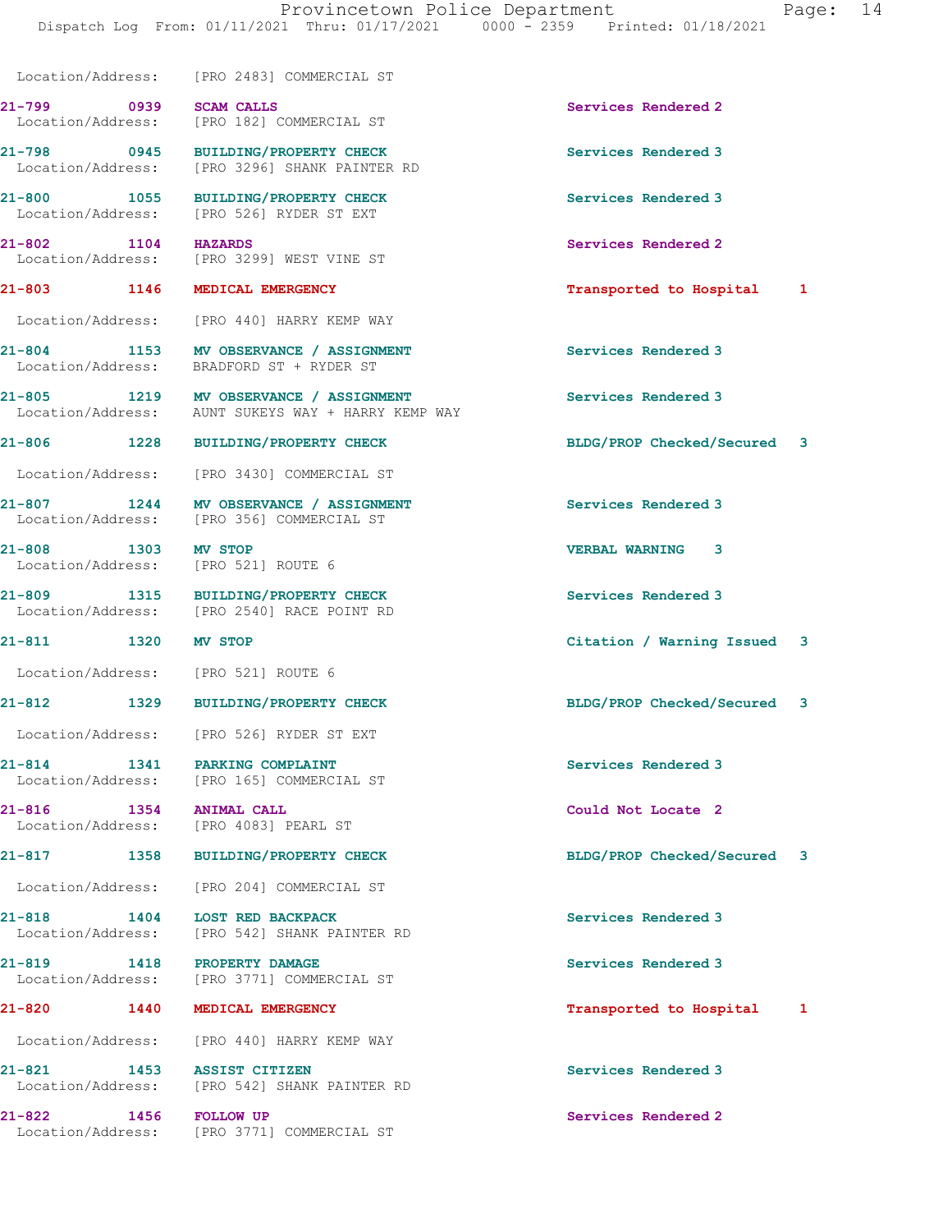Dispatch Log From: 01/11/2021 Thru: 01/17/2021 0000 - 2359 Printed: 01/18/2021

Location/Address: [PRO 2483] COMMERCIAL ST

21-799 0939 SCAM CALLS Services Rendered 2 Location/Address: [PRO 182] COMMERCIAL ST

21-798 0945 BUILDING/PROPERTY CHECK Services Rendered 3

 Location/Address: [PRO 3296] SHANK PAINTER RD 21-800 1055 BUILDING/PROPERTY CHECK Services Rendered 3<br>
Location/Address: [PRO 526] RYDER ST EXT Location/Address: [PRO 526] RYDER ST EXT

21-802 1104 HAZARDS Services Rendered 2 Location/Address: [PRO 3299] WEST VINE ST

Location/Address: [PRO 440] HARRY KEMP WAY

21-804 1153 MV OBSERVANCE / ASSIGNMENT Services Rendered 3 Location/Address: BRADFORD ST + RYDER ST

21-805 1219 MV OBSERVANCE / ASSIGNMENT Services Rendered 3 Location/Address: AUNT SUKEYS WAY + HARRY KEMP WAY

Location/Address: [PRO 3430] COMMERCIAL ST

21-807 1244 MV OBSERVANCE / ASSIGNMENT Services Rendered 3 Location/Address: [PRO 356] COMMERCIAL ST

21-808 1303 MV STOP<br>
Location/Address: [PRO 521] ROUTE 6 [PRO 521] ROUTE 6

21-809 1315 BUILDING/PROPERTY CHECK Services Rendered 3 Location/Address: [PRO 2540] RACE POINT RD

Location/Address: [PRO 521] ROUTE 6

Location/Address: [PRO 526] RYDER ST EXT

21-814 1341 PARKING COMPLAINT Services Rendered 3 Location/Address: [PRO 165] COMMERCIAL ST

21-816 1354 ANIMAL CALL 21-816 Could Not Locate 2<br>
Location/Address: [PRO 4083] PEARL ST [PRO 4083] PEARL ST

Location/Address: [PRO 204] COMMERCIAL ST

21-818 1404 LOST RED BACKPACK Services Rendered 3 Location/Address: [PRO 542] SHANK PAINTER RD

21-819 1418 PROPERTY DAMAGE Services Rendered 3 Location/Address: [PRO 3771] COMMERCIAL ST

Location/Address: [PRO 440] HARRY KEMP WAY

21-821 1453 ASSIST CITIZEN Services Rendered 3 Location/Address: [PRO 542] SHANK PAINTER RD

21-822 1456 FOLLOW UP Services Rendered 2 Location/Address: [PRO 3771] COMMERCIAL ST

21-803 1146 MEDICAL EMERGENCY Transported to Hospital 1

21-806 1228 BUILDING/PROPERTY CHECK BLDG/PROP Checked/Secured 3

21-811 1320 MV STOP Citation / Warning Issued 3

21-812 1329 BUILDING/PROPERTY CHECK BLDG/PROP Checked/Secured 3

21-817 1358 BUILDING/PROPERTY CHECK BLDG/PROP Checked/Secured 3

21-820 1440 MEDICAL EMERGENCY Transported to Hospital 1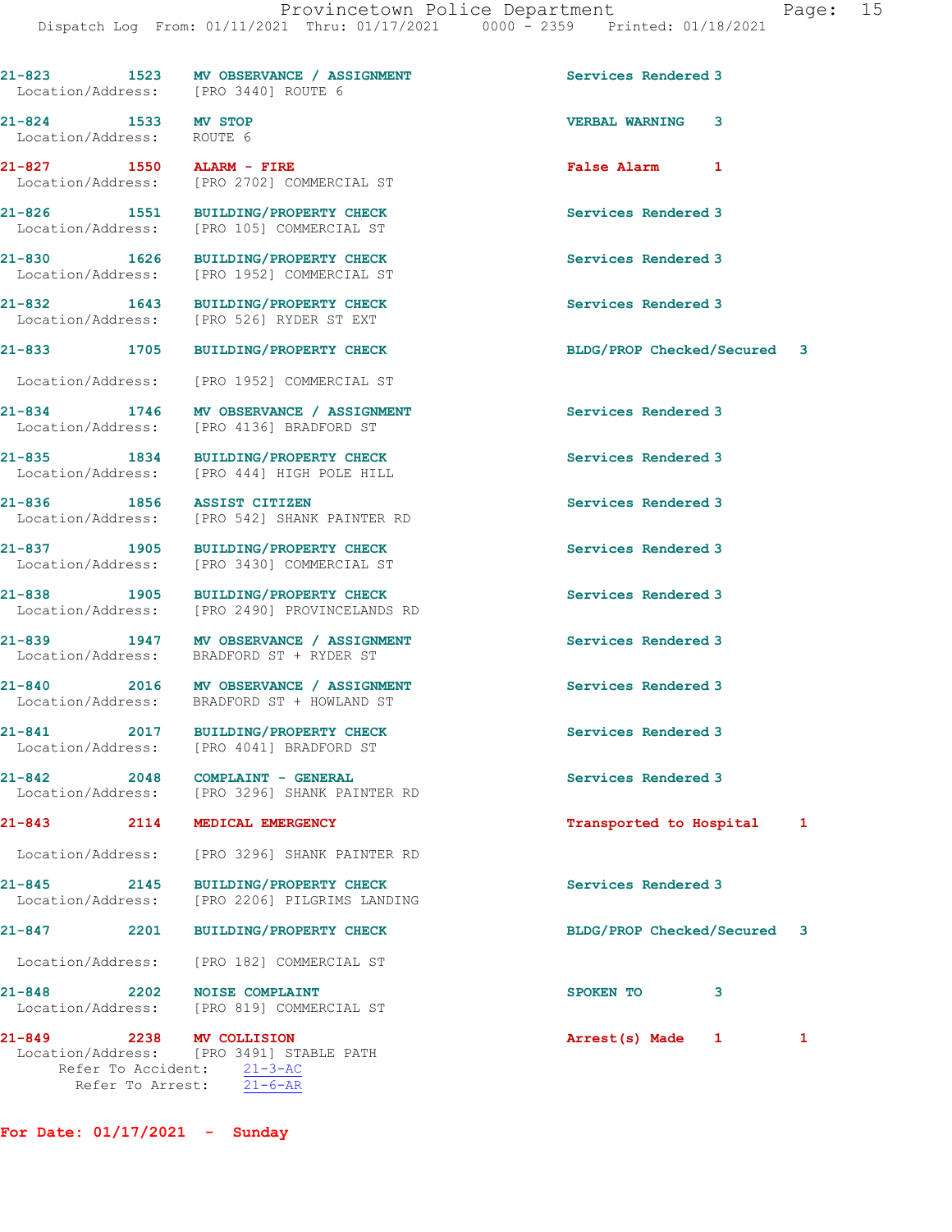| aae: |  |
|------|--|
|      |  |

|                                          | 21-823 1523 MV OBSERVANCE / ASSIGNMENT<br>Location/Address: [PRO 3440] ROUTE 6       | Services Rendered 3                     |
|------------------------------------------|--------------------------------------------------------------------------------------|-----------------------------------------|
| 21-824 1533 MV STOP<br>Location/Address: | ROUTE 6                                                                              | <b>VERBAL WARNING</b><br>3              |
| 21-827 1550 ALARM - FIRE                 | Location/Address: [PRO 2702] COMMERCIAL ST                                           | False Alarm 1                           |
| 21-826 1551<br>Location/Address:         | <b>BUILDING/PROPERTY CHECK</b><br>[PRO 105] COMMERCIAL ST                            | Services Rendered 3                     |
|                                          | 21-830 1626 BUILDING/PROPERTY CHECK<br>Location/Address: [PRO 1952] COMMERCIAL ST    | Services Rendered 3                     |
| 21-832 1643                              | <b>BUILDING/PROPERTY CHECK</b><br>Location/Address: [PRO 526] RYDER ST EXT           | Services Rendered 3                     |
| $21 - 833$<br>1705                       | <b>BUILDING/PROPERTY CHECK</b>                                                       | BLDG/PROP Checked/Secured 3             |
| Location/Address:                        | [PRO 1952] COMMERCIAL ST                                                             |                                         |
|                                          | 21-834 1746 MV OBSERVANCE / ASSIGNMENT<br>Location/Address: [PRO 4136] BRADFORD ST   | Services Rendered 3                     |
| 21-835 1834<br>Location/Address:         | BUILDING/PROPERTY CHECK<br>[PRO 444] HIGH POLE HILL                                  | Services Rendered 3                     |
| 21-836 1856 ASSIST CITIZEN               | Location/Address: [PRO 542] SHANK PAINTER RD                                         | Services Rendered 3                     |
| 21-837 1905<br>Location/Address:         | <b>BUILDING/PROPERTY CHECK</b><br>[PRO 3430] COMMERCIAL ST                           | Services Rendered 3                     |
|                                          | 21-838 1905 BUILDING/PROPERTY CHECK<br>Location/Address: [PRO 2490] PROVINCELANDS RD | Services Rendered 3                     |
|                                          | 21-839 1947 MV OBSERVANCE / ASSIGNMENT<br>Location/Address: BRADFORD ST + RYDER ST   | Services Rendered 3                     |
|                                          | 21-840 2016 MV OBSERVANCE / ASSIGNMENT<br>Location/Address: BRADFORD ST + HOWLAND ST | Services Rendered 3                     |
| 2017<br>$21 - 841$                       | <b>BUILDING/PROPERTY CHECK</b><br>Location/Address: [PRO 4041] BRADFORD ST           | Services Rendered 3                     |
| $21 - 842$<br>2048                       | COMPLAINT - GENERAL<br>Location/Address: [PRO 3296] SHANK PAINTER RD                 | Services Rendered 3                     |
| $21 - 843$                               | 2114 MEDICAL EMERGENCY                                                               | Transported to Hospital<br>$\mathbf{1}$ |
|                                          | Location/Address: [PRO 3296] SHANK PAINTER RD                                        |                                         |
| 21-845 2145<br>Location/Address:         | <b>BUILDING/PROPERTY CHECK</b><br>[PRO 2206] PILGRIMS LANDING                        | Services Rendered 3                     |
| $21 - 847$ 2201                          | <b>BUILDING/PROPERTY CHECK</b>                                                       | BLDG/PROP Checked/Secured 3             |
|                                          | Location/Address: [PRO 182] COMMERCIAL ST                                            |                                         |
| $21 - 848$                               | 2202 NOISE COMPLAINT<br>Location/Address: [PRO 819] COMMERCIAL ST                    | SPOKEN TO<br>3                          |
| 21-849 2238 MV COLLISION                 | Location/Address: [PRO 3491] STABLE PATH<br>Refer To Accident: 21-3-AC               | Arrest(s) Made 1<br>1                   |

For Date: 01/17/2021 - Sunday

Refer To Arrest: 21-6-AR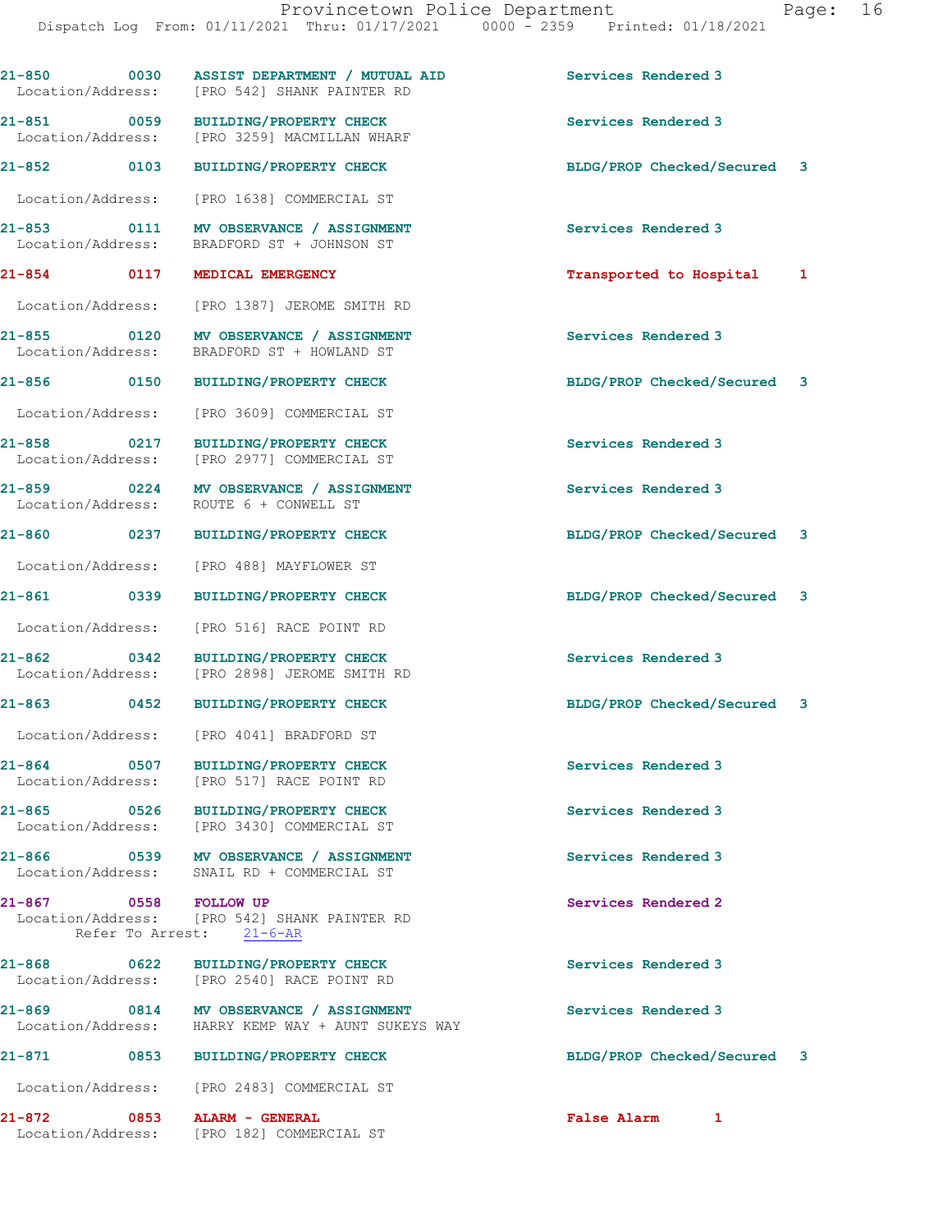| aae |  |
|-----|--|
|     |  |

| 21-850 0030 ASSIST DEPARTMENT / MUTUAL AID                                                               |                                | Services Rendered 3         |  |
|----------------------------------------------------------------------------------------------------------|--------------------------------|-----------------------------|--|
| Location/Address: [PRO 542] SHANK PAINTER RD                                                             |                                |                             |  |
| 21-851 0059<br>Location/Address: [PRO 3259] MACMILLAN WHARF                                              | <b>BUILDING/PROPERTY CHECK</b> | Services Rendered 3         |  |
| 21-852 0103 BUILDING/PROPERTY CHECK                                                                      |                                | BLDG/PROP Checked/Secured 3 |  |
| Location/Address: [PRO 1638] COMMERCIAL ST                                                               |                                |                             |  |
| 21-853 0111 MV OBSERVANCE / ASSIGNMENT<br>Location/Address: BRADFORD ST + JOHNSON ST                     |                                | Services Rendered 3         |  |
| 21-854 0117 MEDICAL EMERGENCY                                                                            |                                | Transported to Hospital 1   |  |
| Location/Address: [PRO 1387] JEROME SMITH RD                                                             |                                |                             |  |
| 21-855 0120 MV OBSERVANCE / ASSIGNMENT<br>Location/Address: BRADFORD ST + HOWLAND ST                     |                                | Services Rendered 3         |  |
| 21-856 0150 BUILDING/PROPERTY CHECK                                                                      |                                | BLDG/PROP Checked/Secured 3 |  |
| Location/Address: [PRO 3609] COMMERCIAL ST                                                               |                                |                             |  |
| 21-858 0217<br>Location/Address: [PRO 2977] COMMERCIAL ST                                                | <b>BUILDING/PROPERTY CHECK</b> | Services Rendered 3         |  |
| 21-859 0224 MV OBSERVANCE / ASSIGNMENT<br>Location/Address: ROUTE 6 + CONWELL ST                         |                                | Services Rendered 3         |  |
| 21-860 0237 BUILDING/PROPERTY CHECK                                                                      |                                | BLDG/PROP Checked/Secured 3 |  |
| Location/Address: [PRO 488] MAYFLOWER ST                                                                 |                                |                             |  |
| 21-861 0339                                                                                              | <b>BUILDING/PROPERTY CHECK</b> | BLDG/PROP Checked/Secured 3 |  |
| Location/Address: [PRO 516] RACE POINT RD                                                                |                                |                             |  |
| $21 - 862$ 0342<br>Location/Address: [PRO 2898] JEROME SMITH RD                                          | <b>BUILDING/PROPERTY CHECK</b> | Services Rendered 3         |  |
| 21-863 0452 BUILDING/PROPERTY CHECK                                                                      |                                | BLDG/PROP Checked/Secured 3 |  |
| Location/Address: [PRO 4041] BRADFORD ST                                                                 |                                |                             |  |
| $21 - 864$<br>0507<br>Location/Address: [PRO 517] RACE POINT RD                                          | BUILDING/PROPERTY CHECK        | Services Rendered 3         |  |
| 21-865 0526 BUILDING/PROPERTY CHECK<br>Location/Address: [PRO 3430] COMMERCIAL ST                        |                                | Services Rendered 3         |  |
| 21-866 0539 MV OBSERVANCE / ASSIGNMENT<br>Location/Address: SNAIL RD + COMMERCIAL ST                     |                                | Services Rendered 3         |  |
| $21 - 867$<br>0558 FOLLOW UP<br>Location/Address: [PRO 542] SHANK PAINTER RD<br>Refer To Arrest: 21-6-AR |                                | Services Rendered 2         |  |
| 21-868 0622 BUILDING/PROPERTY CHECK<br>Location/Address: [PRO 2540] RACE POINT RD                        |                                | Services Rendered 3         |  |
| 21-869 0814 MV OBSERVANCE / ASSIGNMENT<br>Location/Address: HARRY KEMP WAY + AUNT SUKEYS WAY             |                                | Services Rendered 3         |  |
| 21-871<br>0853 BUILDING/PROPERTY CHECK                                                                   |                                | BLDG/PROP Checked/Secured 3 |  |
| Location/Address: [PRO 2483] COMMERCIAL ST                                                               |                                |                             |  |
| 21-872<br>1-872 0853 ALARM - GENERAL<br>Location/Address: [PRO 182] COMMERCIAL ST                        |                                | <b>False Alarm</b><br>1     |  |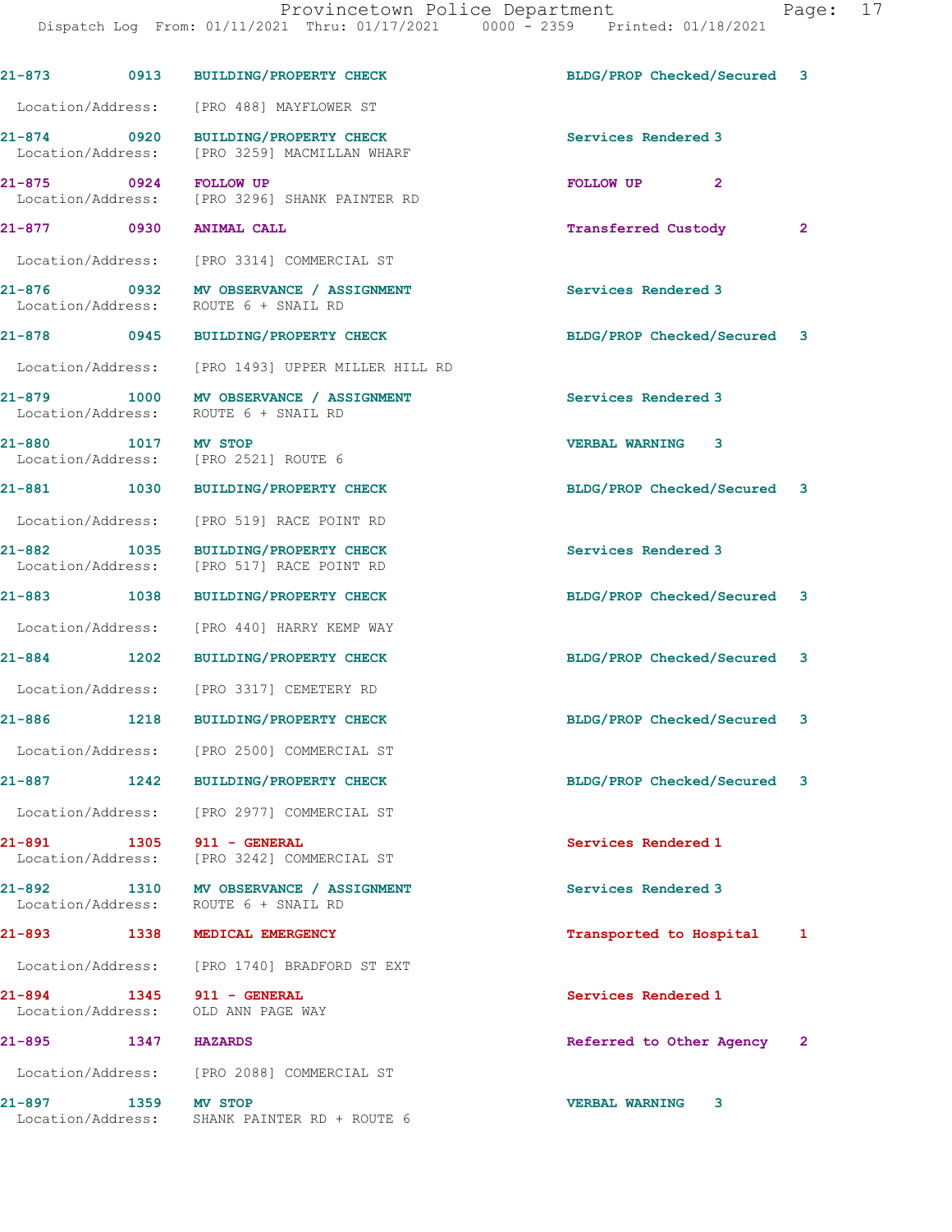Dispatch Log From: 01/11/2021 Thru: 01/17/2021 0000 - 2359 Printed: 01/18/2021 21-873 0913 BUILDING/PROPERTY CHECK BLDG/PROP Checked/Secured 3 Location/Address: [PRO 488] MAYFLOWER ST 21-874 0920 BUILDING/PROPERTY CHECK Services Rendered 3 Location/Address: [PRO 3259] MACMILLAN WHARF 21-875 0924 FOLLOW UP PROMINER RD FOLLOW UP 2<br>
Location/Address: [PRO 3296] SHANK PAINTER RD [PRO 3296] SHANK PAINTER RD 21-877 0930 ANIMAL CALL Transferred Custody 2 Location/Address: [PRO 3314] COMMERCIAL ST 21-876 0932 MV OBSERVANCE / ASSIGNMENT Services Rendered 3 Location/Address: ROUTE 6 + SNAIL RD 21-878 0945 BUILDING/PROPERTY CHECK BLDG/PROP Checked/Secured 3 Location/Address: [PRO 1493] UPPER MILLER HILL RD 21-879 1000 MV OBSERVANCE / ASSIGNMENT Services Rendered 3 Location/Address: ROUTE 6 + SNAIL RD 21-880 1017 MV STOP 1000 1017 MV STOP 1000 1000 VERBAL WARNING 3 [PRO 2521] ROUTE 6 21-881 1030 BUILDING/PROPERTY CHECK BLDG/PROP Checked/Secured 3 Location/Address: [PRO 519] RACE POINT RD 21-882 1035 BUILDING/PROPERTY CHECK Services Rendered 3<br>
Location/Address: [PRO 517] RACE POINT RD [PRO 517] RACE POINT RD 21-883 1038 BUILDING/PROPERTY CHECK BLDG/PROP Checked/Secured 3 Location/Address: [PRO 440] HARRY KEMP WAY 21-884 1202 BUILDING/PROPERTY CHECK BLDG/PROP Checked/Secured 3 Location/Address: [PRO 3317] CEMETERY RD 21-886 1218 BUILDING/PROPERTY CHECK BLDG/PROP Checked/Secured 3 Location/Address: [PRO 2500] COMMERCIAL ST 21-887 1242 BUILDING/PROPERTY CHECK BLDG/PROP Checked/Secured 3 Location/Address: [PRO 2977] COMMERCIAL ST 21-891 1305 911 - GENERAL Services Rendered 1 Location/Address: [PRO 3242] COMMERCIAL ST 21-892 1310 MV OBSERVANCE / ASSIGNMENT Services Rendered 3 Location/Address: ROUTE 6 + SNAIL RD 21-893 1338 MEDICAL EMERGENCY Transported to Hospital 1 Location/Address: [PRO 1740] BRADFORD ST EXT 21-894 1345 911 - GENERAL Services Rendered 1 Location/Address: OLD ANN PAGE WAY 21-895 1347 HAZARDS 1999 (2012) 21-895 (2014) 21-895 (2013) 21-895 (2014) 221-895 (2014) 2 Location/Address: [PRO 2088] COMMERCIAL ST

21-897 1359 MV STOP VERBAL WARNING 3

Location/Address: SHANK PAINTER RD + ROUTE 6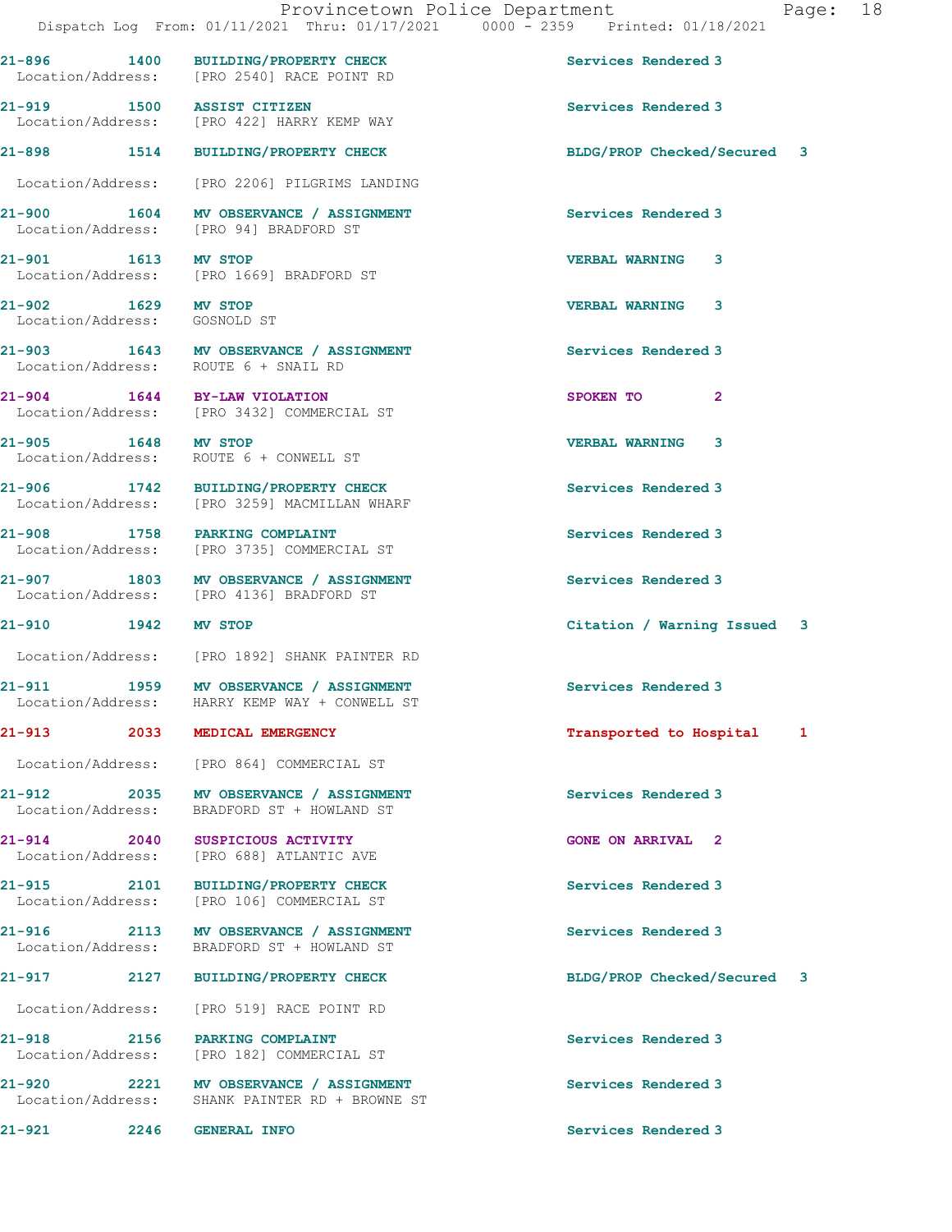Dispatch Log From: 01/11/2021 Thru: 01/17/2021 0000 - 2359 Printed: 01/18/2021 21-896 1400 BUILDING/PROPERTY CHECK Services Rendered 3 Location/Address: [PRO 2540] RACE POINT RD 21-919 1500 ASSIST CITIZEN Services Rendered 3 Location/Address: [PRO 422] HARRY KEMP WAY 21-898 1514 BUILDING/PROPERTY CHECK BLDG/PROP Checked/Secured 3 Location/Address: [PRO 2206] PILGRIMS LANDING 21-900 1604 MV OBSERVANCE / ASSIGNMENT Services Rendered 3<br>
Location/Address: [PRO 94] BRADFORD ST [PRO 94] BRADFORD ST 21-901 1613 MV STOP 2001 1613 21-901 21-901 Location/Address: [PRO 1669] BRADFORD ST 21-902 1629 MV STOP VERBAL WARNING 3 Location/Address: GOSNOLD ST 21-903 1643 MV OBSERVANCE / ASSIGNMENT Services Rendered 3 Location/Address: ROUTE 6 + SNAIL RD 21-904 1644 BY-LAW VIOLATION SPOKEN TO 2 Location/Address: [PRO 3432] COMMERCIAL ST 21-905 1648 MV STOP VERBAL WARNING 3 Location/Address: ROUTE 6 + CONWELL ST 21-906 1742 BUILDING/PROPERTY CHECK Services Rendered 3 Location/Address: [PRO 3259] MACMILLAN WHARF 21-908 1758 PARKING COMPLAINT Services Rendered 3 Location/Address: [PRO 3735] COMMERCIAL ST 21-907 1803 MV OBSERVANCE / ASSIGNMENT Services Rendered 3 Location/Address: [PRO 4136] BRADFORD ST 21-910 1942 MV STOP Citation / Warning Issued 3 Location/Address: [PRO 1892] SHANK PAINTER RD 21-911 1959 MV OBSERVANCE / ASSIGNMENT Services Rendered 3 Location/Address: HARRY KEMP WAY + CONWELL ST 21-913 2033 MEDICAL EMERGENCY Transported to Hospital 1 Location/Address: [PRO 864] COMMERCIAL ST 21-912 2035 MV OBSERVANCE / ASSIGNMENT Services Rendered 3 Location/Address: BRADFORD ST + HOWLAND ST 21-914 2040 SUSPICIOUS ACTIVITY GONE ON ARRIVAL 2 Location/Address: [PRO 688] ATLANTIC AVE 21-915 2101 BUILDING/PROPERTY CHECK Services Rendered 3<br>
Location/Address: [PRO 106] COMMERCIAL ST Location/Address: 21-916 2113 MV OBSERVANCE / ASSIGNMENT Services Rendered 3 Location/Address: BRADFORD ST + HOWLAND ST 21-917 2127 BUILDING/PROPERTY CHECK BLDG/PROP Checked/Secured 3 Location/Address: [PRO 519] RACE POINT RD 21-918 2156 PARKING COMPLAINT Services Rendered 3 Location/Address: [PRO 182] COMMERCIAL ST 21-920 2221 MV OBSERVANCE / ASSIGNMENT Services Rendered 3 Location/Address: SHANK PAINTER RD + BROWNE ST 21-921 2246 GENERAL INFO Services Rendered 3